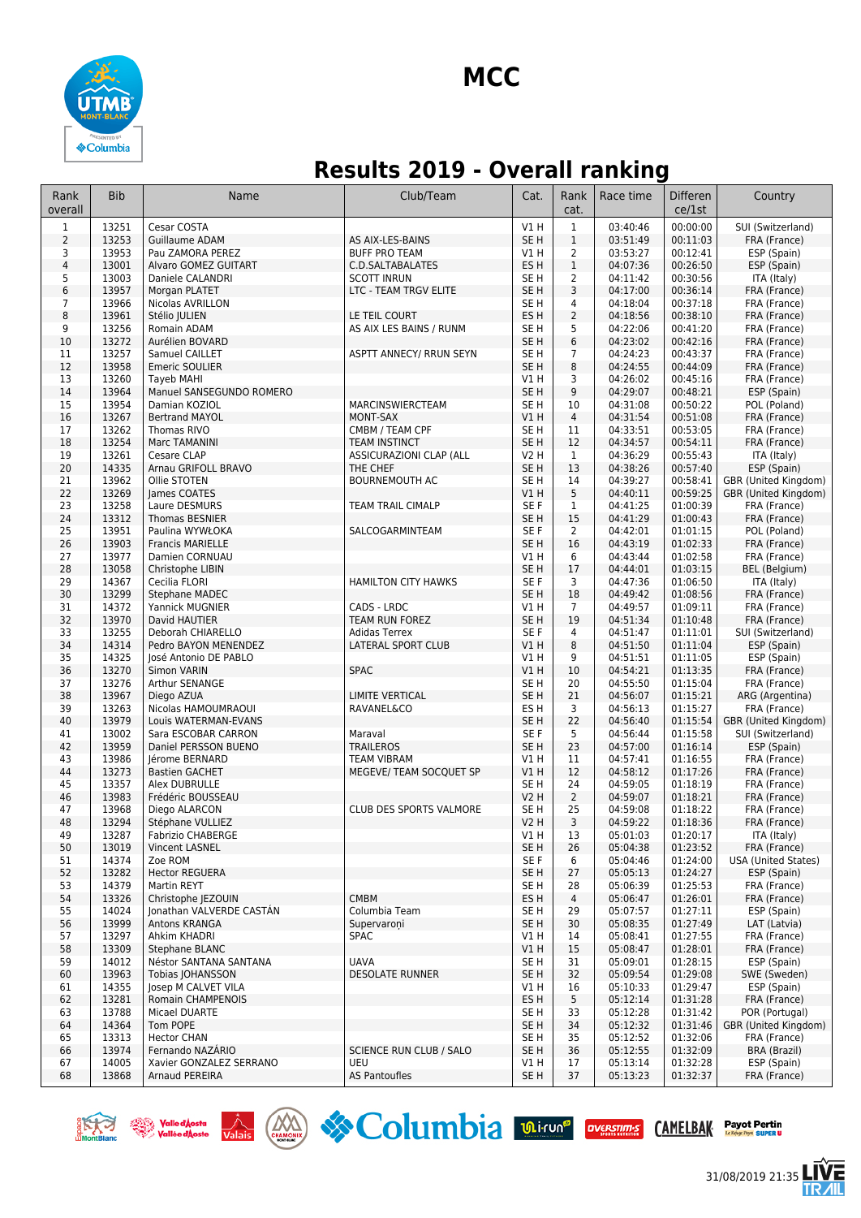

## **Results 2019 - Overall ranking**

| Rank<br>overall | <b>Bib</b>     | Name                                          | Club/Team                              | Cat.                    | Rank<br>cat.                   | Race time            | <b>Differen</b><br>ce/1st | Country                                   |
|-----------------|----------------|-----------------------------------------------|----------------------------------------|-------------------------|--------------------------------|----------------------|---------------------------|-------------------------------------------|
| $\mathbf 1$     | 13251          | Cesar COSTA                                   |                                        | <b>V1 H</b>             | $\mathbf{1}$                   | 03:40:46             | 00:00:00                  | SUI (Switzerland)                         |
| $\overline{2}$  | 13253          | Guillaume ADAM                                | AS AIX-LES-BAINS                       | SE <sub>H</sub>         | $\mathbf{1}$                   | 03:51:49             | 00:11:03                  | FRA (France)                              |
| 3               | 13953          | Pau ZAMORA PEREZ                              | <b>BUFF PRO TEAM</b>                   | V1 H                    | $\overline{2}$                 | 03:53:27             | 00:12:41                  | ESP (Spain)                               |
| 4<br>5          | 13001<br>13003 | Alvaro GOMEZ GUITART<br>Daniele CALANDRI      | C.D.SALTABALATES<br><b>SCOTT INRUN</b> | ES <sub>H</sub><br>SE H | $\mathbf{1}$<br>$\overline{2}$ | 04:07:36<br>04:11:42 | 00:26:50<br>00:30:56      | ESP (Spain)<br>ITA (Italy)                |
| 6               | 13957          | Morgan PLATET                                 | <b>LTC - TEAM TRGV ELITE</b>           | SE <sub>H</sub>         | 3                              | 04:17:00             | 00:36:14                  | FRA (France)                              |
| $\overline{7}$  | 13966          | Nicolas AVRILLON                              |                                        | SE <sub>H</sub>         | $\overline{4}$                 | 04:18:04             | 00:37:18                  | FRA (France)                              |
| 8               | 13961          | Stélio JULIEN                                 | LE TEIL COURT                          | ES H                    | $\overline{2}$                 | 04:18:56             | 00:38:10                  | FRA (France)                              |
| 9               | 13256          | Romain ADAM                                   | AS AIX LES BAINS / RUNM                | SE H                    | 5                              | 04:22:06             | 00:41:20                  | FRA (France)                              |
| 10              | 13272          | Aurélien BOVARD                               |                                        | SE H                    | $\,6\,$                        | 04:23:02             | 00:42:16                  | FRA (France)                              |
| 11              | 13257          | Samuel CAILLET                                | ASPTT ANNECY/ RRUN SEYN                | SE H                    | $\overline{7}$                 | 04:24:23             | 00:43:37                  | FRA (France)                              |
| 12              | 13958          | Emeric SOULIER                                |                                        | SE <sub>H</sub>         | 8                              | 04:24:55             | 00:44:09                  | FRA (France)                              |
| 13<br>14        | 13260<br>13964 | <b>Tayeb MAHI</b><br>Manuel SANSEGUNDO ROMERO |                                        | V1 H<br>SE <sub>H</sub> | 3<br>9                         | 04:26:02<br>04:29:07 | 00:45:16<br>00:48:21      | FRA (France)<br>ESP (Spain)               |
| 15              | 13954          | Damian KOZIOL                                 | MARCINSWIERCTEAM                       | SE H                    | 10                             | 04:31:08             | 00:50:22                  | POL (Poland)                              |
| 16              | 13267          | <b>Bertrand MAYOL</b>                         | MONT-SAX                               | V1H                     | $\overline{4}$                 | 04:31:54             | 00:51:08                  | FRA (France)                              |
| 17              | 13262          | Thomas RIVO                                   | CMBM / TEAM CPF                        | SE <sub>H</sub>         | 11                             | 04:33:51             | 00:53:05                  | FRA (France)                              |
| 18              | 13254          | Marc TAMANINI                                 | <b>TEAM INSTINCT</b>                   | SE <sub>H</sub>         | 12                             | 04:34:57             | 00:54:11                  | FRA (France)                              |
| 19              | 13261          | Cesare CLAP                                   | ASSICURAZIONI CLAP (ALL                | <b>V2 H</b>             | $\mathbf{1}$                   | 04:36:29             | 00:55:43                  | ITA (Italy)                               |
| 20              | 14335          | Arnau GRIFOLL BRAVO                           | THE CHEF                               | SE H                    | 13                             | 04:38:26             | 00:57:40                  | ESP (Spain)                               |
| 21              | 13962          | Ollie STOTEN                                  | <b>BOURNEMOUTH AC</b>                  | SE H                    | 14                             | 04:39:27             | 00:58:41                  | GBR (United Kingdom)                      |
| 22              | 13269          | James COATES                                  |                                        | V1 H                    | 5                              | 04:40:11             | 00:59:25                  | GBR (United Kingdom)                      |
| 23<br>24        | 13258<br>13312 | Laure DESMURS<br><b>Thomas BESNIER</b>        | TEAM TRAIL CIMALP                      | SE F<br>SE <sub>H</sub> | 1<br>15                        | 04:41:25<br>04:41:29 | 01:00:39<br>01:00:43      | FRA (France)<br>FRA (France)              |
| 25              | 13951          | Paulina WYWŁOKA                               | SALCOGARMINTEAM                        | SE F                    | $\overline{2}$                 | 04:42:01             | 01:01:15                  | POL (Poland)                              |
| 26              | 13903          | <b>Francis MARIELLE</b>                       |                                        | SE <sub>H</sub>         | 16                             | 04:43:19             | 01:02:33                  | FRA (France)                              |
| 27              | 13977          | Damien CORNUAU                                |                                        | V1H                     | 6                              | 04:43:44             | 01:02:58                  | FRA (France)                              |
| 28              | 13058          | Christophe LIBIN                              |                                        | SE <sub>H</sub>         | 17                             | 04:44:01             | 01:03:15                  | <b>BEL</b> (Belgium)                      |
| 29              | 14367          | Cecilia FLORI                                 | <b>HAMILTON CITY HAWKS</b>             | SE F                    | 3                              | 04:47:36             | 01:06:50                  | ITA (Italy)                               |
| 30              | 13299          | Stephane MADEC                                |                                        | SE <sub>H</sub>         | 18                             | 04:49:42             | 01:08:56                  | FRA (France)                              |
| 31              | 14372          | Yannick MUGNIER                               | CADS - LRDC                            | V1H                     | $\overline{7}$                 | 04:49:57             | 01:09:11                  | FRA (France)                              |
| 32<br>33        | 13970<br>13255 | David HAUTIER<br>Deborah CHIARELLO            | TEAM RUN FOREZ<br><b>Adidas Terrex</b> | SE H<br>SE F            | 19<br>4                        | 04:51:34<br>04:51:47 | 01:10:48<br>01:11:01      | FRA (France)<br>SUI (Switzerland)         |
| 34              | 14314          | Pedro BAYON MENENDEZ                          | LATERAL SPORT CLUB                     | VIH                     | 8                              | 04:51:50             | 01:11:04                  | ESP (Spain)                               |
| 35              | 14325          | José Antonio DE PABLO                         |                                        | <b>V1 H</b>             | 9                              | 04:51:51             | 01:11:05                  | ESP (Spain)                               |
| 36              | 13270          | Simon VARIN                                   | <b>SPAC</b>                            | <b>V1 H</b>             | 10                             | 04:54:21             | 01:13:35                  | FRA (France)                              |
| 37              | 13276          | Arthur SENANGE                                |                                        | SE <sub>H</sub>         | 20                             | 04:55:50             | 01:15:04                  | FRA (France)                              |
| 38              | 13967          | Diego AZUA                                    | <b>LIMITE VERTICAL</b>                 | SE <sub>H</sub>         | 21                             | 04:56:07             | 01:15:21                  | ARG (Argentina)                           |
| 39              | 13263          | Nicolas HAMOUMRAOUI                           | <b>RAVANEL&amp;CO</b>                  | ES H                    | 3                              | 04:56:13             | 01:15:27                  | FRA (France)                              |
| 40<br>41        | 13979<br>13002 | Louis WATERMAN-EVANS<br>Sara ESCOBAR CARRON   | Maraval                                | SE <sub>H</sub><br>SE F | 22<br>5                        | 04:56:40<br>04:56:44 | 01:15:54<br>01:15:58      | GBR (United Kingdom)<br>SUI (Switzerland) |
| 42              | 13959          | Daniel PERSSON BUENO                          | <b>TRAILEROS</b>                       | SE <sub>H</sub>         | 23                             | 04:57:00             | 01:16:14                  | ESP (Spain)                               |
| 43              | 13986          | Jérome BERNARD                                | <b>TEAM VIBRAM</b>                     | V1 H                    | 11                             | 04:57:41             | 01:16:55                  | FRA (France)                              |
| 44              | 13273          | <b>Bastien GACHET</b>                         | MEGEVE/ TEAM SOCQUET SP                | VIH                     | 12                             | 04:58:12             | 01:17:26                  | FRA (France)                              |
| 45              | 13357          | Alex DUBRULLE                                 |                                        | SE H                    | 24                             | 04:59:05             | 01:18:19                  | FRA (France)                              |
| 46              | 13983          | Frédéric BOUSSEAU                             |                                        | <b>V2 H</b>             | $\overline{2}$                 | 04:59:07             | 01:18:21                  | FRA (France)                              |
| 47              | 13968          | Diego ALARCON                                 | CLUB DES SPORTS VALMORE                | SE H                    | 25                             | 04:59:08             | 01:18:22                  | FRA (France)                              |
| 48              | 13294          | Stéphane VULLIEZ                              |                                        | V <sub>2</sub> H        | 3                              | 04:59:22             | 01:18:36                  | FRA (France)                              |
| 49<br>50        | 13287<br>13019 | <b>Fabrizio CHABERGE</b><br>Vincent LASNEL    |                                        | V1 H<br>SE H            | 13<br>26                       | 05:01:03<br>05:04:38 | 01:20:17<br>01:23:52      | TIA (Italy)<br>FRA (France)               |
| 51              | 14374          | Zoe ROM                                       |                                        | SE F                    | 6                              | 05:04:46             | 01:24:00                  | <b>USA (United States)</b>                |
| 52              | 13282          | <b>Hector REGUERA</b>                         |                                        | SE <sub>H</sub>         | 27                             | 05:05:13             | 01:24:27                  | ESP (Spain)                               |
| 53              | 14379          | Martin REYT                                   |                                        | SE <sub>H</sub>         | 28                             | 05:06:39             | 01:25:53                  | FRA (France)                              |
| 54              | 13326          | Christophe JEZOUIN                            | <b>CMBM</b>                            | ES H                    | $\overline{4}$                 | 05:06:47             | 01:26:01                  | FRA (France)                              |
| 55              | 14024          | Jonathan VALVERDE CASTÁN                      | Columbia Team                          | SE H                    | 29                             | 05:07:57             | 01:27:11                  | ESP (Spain)                               |
| 56              | 13999          | Antons KRANGA                                 | Supervaroni                            | SE H                    | 30                             | 05:08:35             | 01:27:49                  | LAT (Latvia)                              |
| 57              | 13297          | Ahkim KHADRI                                  | <b>SPAC</b>                            | V1 H                    | 14                             | 05:08:41             | 01:27:55                  | FRA (France)                              |
| 58<br>59        | 13309<br>14012 | Stephane BLANC<br>Néstor SANTANA SANTANA      | <b>UAVA</b>                            | V1H<br>SE H             | 15<br>31                       | 05:08:47<br>05:09:01 | 01:28:01<br>01:28:15      | FRA (France)<br>ESP (Spain)               |
| 60              | 13963          | Tobias JOHANSSON                              | <b>DESOLATE RUNNER</b>                 | SE <sub>H</sub>         | 32                             | 05:09:54             | 01:29:08                  | SWE (Sweden)                              |
| 61              | 14355          | Josep M CALVET VILA                           |                                        | V1 H                    | 16                             | 05:10:33             | 01:29:47                  | ESP (Spain)                               |
| 62              | 13281          | Romain CHAMPENOIS                             |                                        | ES H                    | 5                              | 05:12:14             | 01:31:28                  | FRA (France)                              |
| 63              | 13788          | Micael DUARTE                                 |                                        | SE H                    | 33                             | 05:12:28             | 01:31:42                  | POR (Portugal)                            |
| 64              | 14364          | Tom POPE                                      |                                        | SE <sub>H</sub>         | 34                             | 05:12:32             | 01:31:46                  | GBR (United Kingdom)                      |
| 65              | 13313          | <b>Hector CHAN</b>                            |                                        | SE H                    | 35                             | 05:12:52             | 01:32:06                  | FRA (France)                              |
| 66              | 13974          | Fernando NAZÁRIO                              | <b>SCIENCE RUN CLUB / SALO</b>         | SE <sub>H</sub>         | 36                             | 05:12:55             | 01:32:09                  | BRA (Brazil)                              |
| 67<br>68        | 14005<br>13868 | Xavier GONZALEZ SERRANO<br>Arnaud PEREIRA     | <b>UEU</b><br>AS Pantoufles            | V1 H<br>SE H            | 17<br>37                       | 05:13:14<br>05:13:23 | 01:32:28<br>01:32:37      | ESP (Spain)                               |
|                 |                |                                               |                                        |                         |                                |                      |                           | FRA (France)                              |









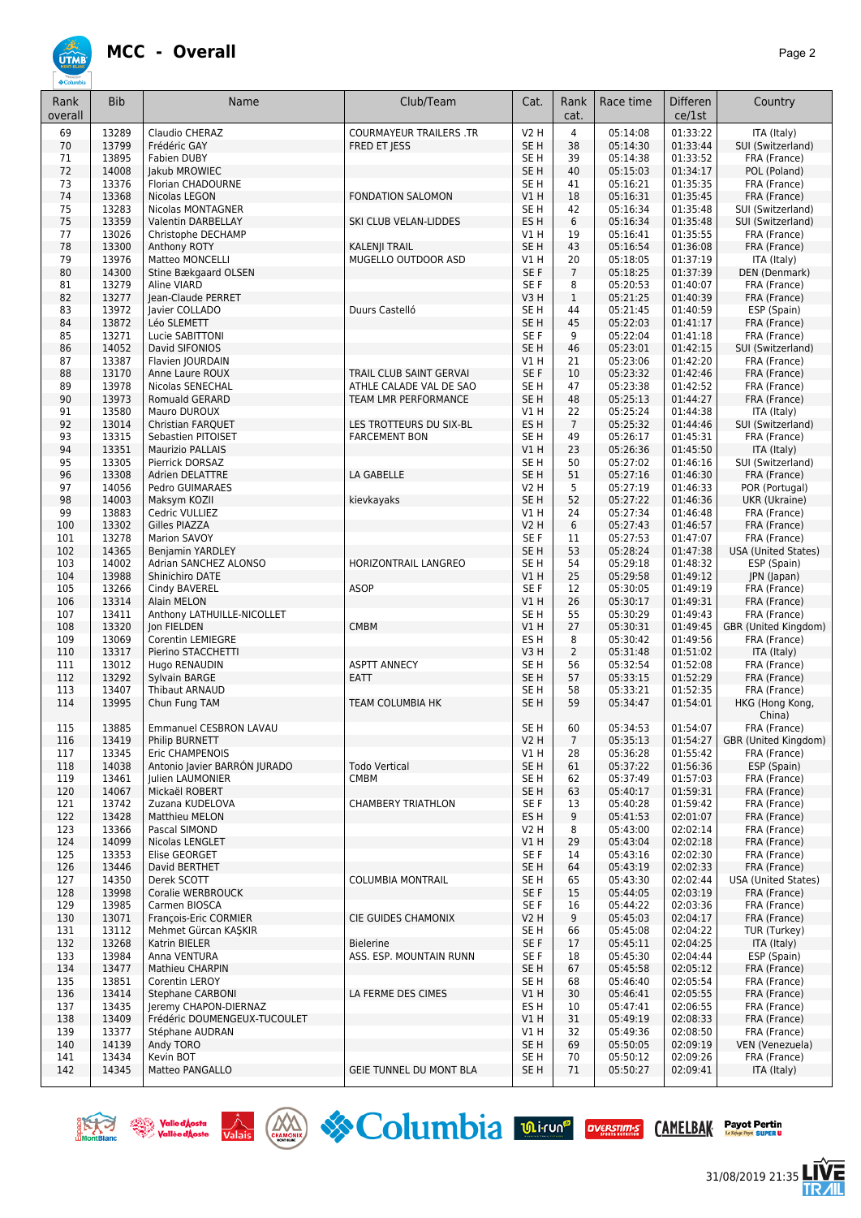

| Rank<br>overall | <b>Bib</b>     | Name                                             | Club/Team                      | Cat.                               | Rank<br>cat.   | Race time            | <b>Differen</b><br>ce/1st | Country                           |
|-----------------|----------------|--------------------------------------------------|--------------------------------|------------------------------------|----------------|----------------------|---------------------------|-----------------------------------|
| 69              | 13289          | Claudio CHERAZ                                   | <b>COURMAYEUR TRAILERS .TR</b> | <b>V2 H</b>                        | $\overline{4}$ | 05:14:08             | 01:33:22                  | ITA (Italy)                       |
| 70              | 13799          | Frédéric GAY                                     | FRED ET JESS                   | SE <sub>H</sub>                    | 38             | 05:14:30             | 01:33:44                  | SUI (Switzerland)                 |
| 71              | 13895          | Fabien DUBY                                      |                                | SE H                               | 39             | 05:14:38             | 01:33:52                  | FRA (France)                      |
| 72              | 14008          | Jakub MROWIEC                                    |                                | SE <sub>H</sub>                    | 40             | 05:15:03             | 01:34:17                  | POL (Poland)                      |
| 73              | 13376          | Florian CHADOURNE                                |                                | SE H                               | 41             | 05:16:21             | 01:35:35                  | FRA (France)                      |
| 74              | 13368          | Nicolas LEGON                                    | <b>FONDATION SALOMON</b>       | V1 H                               | 18             | 05:16:31             | 01:35:45                  | FRA (France)                      |
| 75<br>75        | 13283<br>13359 | Nicolas MONTAGNER<br>Valentin DARBELLAY          | SKI CLUB VELAN-LIDDES          | SE <sub>H</sub><br>ES <sub>H</sub> | 42<br>6        | 05:16:34<br>05:16:34 | 01:35:48<br>01:35:48      | SUI (Switzerland)                 |
| 77              | 13026          | Christophe DECHAMP                               |                                | V1 H                               | 19             | 05:16:41             | 01:35:55                  | SUI (Switzerland)<br>FRA (France) |
| 78              | 13300          | Anthony ROTY                                     | <b>KALENJI TRAIL</b>           | SE <sub>H</sub>                    | 43             | 05:16:54             | 01:36:08                  | FRA (France)                      |
| 79              | 13976          | Matteo MONCELLI                                  | MUGELLO OUTDOOR ASD            | V1 H                               | 20             | 05:18:05             | 01:37:19                  | ITA (Italy)                       |
| 80              | 14300          | Stine Bækgaard OLSEN                             |                                | SE F                               | $\overline{7}$ | 05:18:25             | 01:37:39                  | DEN (Denmark)                     |
| 81              | 13279          | Aline VIARD                                      |                                | SE F                               | 8              | 05:20:53             | 01:40:07                  | FRA (France)                      |
| 82              | 13277          | Jean-Claude PERRET                               |                                | V3H                                | $\mathbf{1}$   | 05:21:25             | 01:40:39                  | FRA (France)                      |
| 83              | 13972          | Javier COLLADO                                   | Duurs Castelló                 | SE <sub>H</sub>                    | 44             | 05:21:45             | 01:40:59                  | ESP (Spain)                       |
| 84              | 13872          | Léo SLEMETT                                      |                                | SE <sub>H</sub>                    | 45             | 05:22:03             | 01:41:17                  | FRA (France)                      |
| 85              | 13271          | Lucie SABITTONI                                  |                                | SE <sub>F</sub>                    | 9              | 05:22:04             | 01:41:18                  | FRA (France)                      |
| 86<br>87        | 14052<br>13387 | David SIFONIOS                                   |                                | SE <sub>H</sub><br>V1H             | 46<br>21       | 05:23:01<br>05:23:06 | 01:42:15<br>01:42:20      | SUI (Switzerland)                 |
| 88              | 13170          | Flavien JOURDAIN<br>Anne Laure ROUX              | TRAIL CLUB SAINT GERVAL        | SE F                               | 10             | 05:23:32             | 01:42:46                  | FRA (France)<br>FRA (France)      |
| 89              | 13978          | Nicolas SENECHAL                                 | ATHLE CALADE VAL DE SAO        | SE <sub>H</sub>                    | 47             | 05:23:38             | 01:42:52                  | FRA (France)                      |
| 90              | 13973          | Romuald GERARD                                   | <b>TEAM LMR PERFORMANCE</b>    | SE <sub>H</sub>                    | 48             | 05:25:13             | 01:44:27                  | FRA (France)                      |
| 91              | 13580          | Mauro DUROUX                                     |                                | V1H                                | 22             | 05:25:24             | 01:44:38                  | ITA (Italy)                       |
| 92              | 13014          | <b>Christian FARQUET</b>                         | LES TROTTEURS DU SIX-BL        | ES <sub>H</sub>                    | $\overline{7}$ | 05:25:32             | 01:44:46                  | SUI (Switzerland)                 |
| 93              | 13315          | Sebastien PITOISET                               | <b>FARCEMENT BON</b>           | SE <sub>H</sub>                    | 49             | 05:26:17             | 01:45:31                  | FRA (France)                      |
| 94              | 13351          | <b>Maurizio PALLAIS</b>                          |                                | VIH                                | 23             | 05:26:36             | 01:45:50                  | ITA (Italy)                       |
| 95              | 13305          | Pierrick DORSAZ                                  |                                | SE H                               | 50             | 05:27:02             | 01:46:16                  | SUI (Switzerland)                 |
| 96              | 13308          | Adrien DELATTRE                                  | LA GABELLE                     | SE <sub>H</sub>                    | 51             | 05:27:16             | 01:46:30                  | FRA (France)                      |
| 97              | 14056          | Pedro GUIMARAES                                  |                                | V2 H                               | 5              | 05:27:19             | 01:46:33                  | POR (Portugal)                    |
| 98              | 14003          | Maksym KOZII                                     | kievkayaks                     | SE <sub>H</sub>                    | 52             | 05:27:22             | 01:46:36                  | UKR (Ukraine)                     |
| 99<br>100       | 13883<br>13302 | Cedric VULLIEZ<br>Gilles PIAZZA                  |                                | V1 H<br><b>V2 H</b>                | 24<br>6        | 05:27:34<br>05:27:43 | 01:46:48<br>01:46:57      | FRA (France)                      |
| 101             | 13278          | <b>Marion SAVOY</b>                              |                                | SE F                               | 11             | 05:27:53             | 01:47:07                  | FRA (France)<br>FRA (France)      |
| 102             | 14365          | Benjamin YARDLEY                                 |                                | SE <sub>H</sub>                    | 53             | 05:28:24             | 01:47:38                  | USA (United States)               |
| 103             | 14002          | Adrian SANCHEZ ALONSO                            | HORIZONTRAIL LANGREO           | SE <sub>H</sub>                    | 54             | 05:29:18             | 01:48:32                  | ESP (Spain)                       |
| 104             | 13988          | Shinichiro DATE                                  |                                | V1H                                | 25             | 05:29:58             | 01:49:12                  | JPN (Japan)                       |
| 105             | 13266          | Cindy BAVEREL                                    | <b>ASOP</b>                    | SE F                               | 12             | 05:30:05             | 01:49:19                  | FRA (France)                      |
| 106             | 13314          | Alain MELON                                      |                                | VIH                                | 26             | 05:30:17             | 01:49:31                  | FRA (France)                      |
| 107             | 13411          | Anthony LATHUILLE-NICOLLET                       |                                | SE <sub>H</sub>                    | 55             | 05:30:29             | 01:49:43                  | FRA (France)                      |
| 108             | 13320          | Jon FIELDEN                                      | <b>CMBM</b>                    | V1 H                               | 27             | 05:30:31             | 01:49:45                  | GBR (United Kingdom)              |
| 109             | 13069          | Corentin LEMIEGRE                                |                                | ES <sub>H</sub>                    | 8              | 05:30:42             | 01:49:56                  | FRA (France)                      |
| 110             | 13317          | Pierino STACCHETTI                               |                                | V3H                                | $\overline{2}$ | 05:31:48             | 01:51:02                  | ITA (Italy)                       |
| 111<br>112      | 13012<br>13292 | Hugo RENAUDIN                                    | <b>ASPTT ANNECY</b><br>EATT    | SE <sub>H</sub><br>SE <sub>H</sub> | 56<br>57       | 05:32:54<br>05:33:15 | 01:52:08<br>01:52:29      | FRA (France)                      |
| 113             | 13407          | Sylvain BARGE<br><b>Thibaut ARNAUD</b>           |                                | SE <sub>H</sub>                    | 58             | 05:33:21             | 01:52:35                  | FRA (France)<br>FRA (France)      |
| 114             | 13995          | Chun Fung TAM                                    | TEAM COLUMBIA HK               | SE <sub>H</sub>                    | 59             | 05:34:47             | 01:54:01                  | HKG (Hong Kong,                   |
|                 |                |                                                  |                                |                                    |                |                      |                           | China)                            |
| 115             | 13885          | Emmanuel CESBRON LAVAU                           |                                | SE H                               | 60             | 05:34:53             | 01:54:07                  | FRA (France)                      |
| 116             | 13419          | Philip BURNETT                                   |                                | <b>V2 H</b>                        | $\overline{7}$ | 05:35:13             | 01:54:27                  | GBR (United Kingdom)              |
| 117             | 13345          | <b>Eric CHAMPENOIS</b>                           |                                | V1 H                               | 28             | 05:36:28             | 01:55:42                  | FRA (France)                      |
| 118             | 14038          | Antonio Javier BARRON JURADO                     | <b>Todo Vertical</b>           | SE <sub>H</sub>                    | 61             | 05:37:22             | 01:56:36                  | ESP (Spain)                       |
| 119             | 13461          | Julien LAUMONIER                                 | <b>CMBM</b>                    | SE H                               | 62             | 05:37:49             | 01:57:03                  | FRA (France)                      |
| 120             | 14067          | Mickaël ROBERT                                   |                                | SE H                               | 63             | 05:40:17             | 01:59:31                  | FRA (France)                      |
| 121             | 13742          | Zuzana KUDELOVA                                  | <b>CHAMBERY TRIATHLON</b>      | SE F                               | 13             | 05:40:28             | 01:59:42                  | FRA (France)                      |
| 122<br>123      | 13428          | Matthieu MELON<br>Pascal SIMOND                  |                                | ES <sub>H</sub><br><b>V2 H</b>     | 9<br>8         | 05:41:53<br>05:43:00 | 02:01:07<br>02:02:14      | FRA (France)                      |
| 124             | 13366<br>14099 | Nicolas LENGLET                                  |                                |                                    | 29             | 05:43:04             | 02:02:18                  | FRA (France)<br>FRA (France)      |
| 125             | 13353          | Elise GEORGET                                    |                                | V1H<br>SE F                        | 14             | 05:43:16             | 02:02:30                  | FRA (France)                      |
| 126             | 13446          | David BERTHET                                    |                                | SE <sub>H</sub>                    | 64             | 05:43:19             | 02:02:33                  | FRA (France)                      |
| 127             | 14350          | Derek SCOTT                                      | <b>COLUMBIA MONTRAIL</b>       | SE H                               | 65             | 05:43:30             | 02:02:44                  | <b>USA (United States)</b>        |
| 128             | 13998          | Coralie WERBROUCK                                |                                | SE F                               | 15             | 05:44:05             | 02:03:19                  | FRA (France)                      |
| 129             | 13985          | Carmen BIOSCA                                    |                                | SE F                               | 16             | 05:44:22             | 02:03:36                  | FRA (France)                      |
| 130             | 13071          | François-Eric CORMIER                            | CIE GUIDES CHAMONIX            | V2 H                               | 9              | 05:45:03             | 02:04:17                  | FRA (France)                      |
| 131             | 13112          | Mehmet Gürcan KAŞKIR                             |                                | SE H                               | 66             | 05:45:08             | 02:04:22                  | TUR (Turkey)                      |
| 132             | 13268          | Katrin BIELER                                    | <b>Bielerine</b>               | SE F                               | 17             | 05:45:11             | 02:04:25                  | ITA (Italy)                       |
| 133             | 13984          | Anna VENTURA                                     | ASS. ESP. MOUNTAIN RUNN        | SE F                               | 18             | 05:45:30             | 02:04:44                  | ESP (Spain)                       |
| 134             | 13477          | Mathieu CHARPIN                                  |                                | SE <sub>H</sub>                    | 67             | 05:45:58             | 02:05:12                  | FRA (France)                      |
| 135             | 13851<br>13414 | Corentin LEROY                                   |                                | SE H<br>V1H                        | 68             | 05:46:40             | 02:05:54<br>02:05:55      | FRA (France)                      |
| 136<br>137      | 13435          | <b>Stephane CARBONI</b><br>Jeremy CHAPON-DIERNAZ | LA FERME DES CIMES             | ES H                               | 30<br>10       | 05:46:41<br>05:47:41 | 02:06:55                  | FRA (France)<br>FRA (France)      |
| 138             | 13409          | Frédéric DOUMENGEUX-TUCOULET                     |                                | VIH                                | 31             | 05:49:19             | 02:08:33                  | FRA (France)                      |
| 139             | 13377          | Stéphane AUDRAN                                  |                                | V1 H                               | 32             | 05:49:36             | 02:08:50                  | FRA (France)                      |
| 140             | 14139          | Andy TORO                                        |                                | SE <sub>H</sub>                    | 69             | 05:50:05             | 02:09:19                  | VEN (Venezuela)                   |
| 141             | 13434          | Kevin BOT                                        |                                | SE H                               | 70             | 05:50:12             | 02:09:26                  | FRA (France)                      |
| 142             | 14345          | Matteo PANGALLO                                  | GEIE TUNNEL DU MONT BLA        | SE <sub>H</sub>                    | 71             | 05:50:27             | 02:09:41                  | ITA (Italy)                       |
|                 |                |                                                  |                                |                                    |                |                      |                           |                                   |







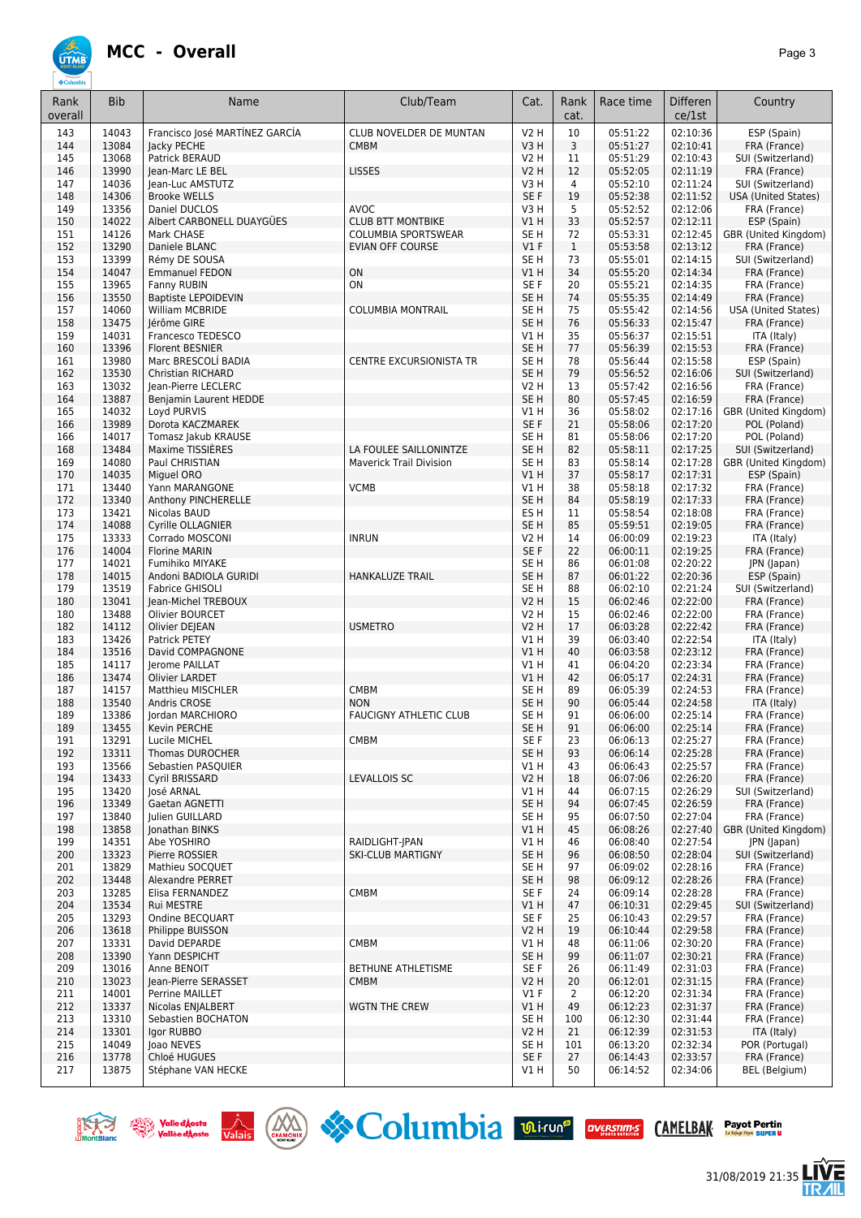

**UTMB** 

| Rank<br>overall | <b>Bib</b>     | Name                                          | Club/Team                      | Cat.                               | Rank<br>cat.         | Race time            | <b>Differen</b><br>ce/1st | Country                              |
|-----------------|----------------|-----------------------------------------------|--------------------------------|------------------------------------|----------------------|----------------------|---------------------------|--------------------------------------|
| 143             | 14043          | Francisco José MARTÍNEZ GARCÍA                | CLUB NOVELDER DE MUNTAN        | <b>V2 H</b>                        | 10                   | 05:51:22             | 02:10:36                  | ESP (Spain)                          |
| 144             | 13084          | Jacky PECHE                                   | <b>CMBM</b>                    | V3H                                | 3                    | 05:51:27             | 02:10:41                  | FRA (France)                         |
| 145             | 13068<br>13990 | Patrick BERAUD                                |                                | V2 H                               | 11                   | 05:51:29             | 02:10:43                  | SUI (Switzerland)                    |
| 146<br>147      | 14036          | Jean-Marc LE BEL<br>Jean-Luc AMSTUTZ          | <b>LISSES</b>                  | <b>V2 H</b><br>V3H                 | 12<br>4              | 05:52:05<br>05:52:10 | 02:11:19<br>02:11:24      | FRA (France)<br>SUI (Switzerland)    |
| 148             | 14306          | <b>Brooke WELLS</b>                           |                                | SE <sub>F</sub>                    | 19                   | 05:52:38             | 02:11:52                  | <b>USA (United States)</b>           |
| 149             | 13356          | Daniel DUCLOS                                 | <b>AVOC</b>                    | V3H                                | 5                    | 05:52:52             | 02:12:06                  | FRA (France)                         |
| 150             | 14022          | Albert CARBONELL DUAYGÜES                     | <b>CLUB BTT MONTBIKE</b>       | <b>V1 H</b>                        | 33                   | 05:52:57             | 02:12:11                  | ESP (Spain)                          |
| 151             | 14126          | Mark CHASE                                    | <b>COLUMBIA SPORTSWEAR</b>     | SE <sub>H</sub>                    | 72                   | 05:53:31             | 02:12:45                  | GBR (United Kingdom)                 |
| 152<br>153      | 13290<br>13399 | Daniele BLANC<br>Rémy DE SOUSA                | <b>EVIAN OFF COURSE</b>        | $VI$ F<br>SE H                     | $\mathbf{1}$<br>73   | 05:53:58<br>05:55:01 | 02:13:12<br>02:14:15      | FRA (France)<br>SUI (Switzerland)    |
| 154             | 14047          | <b>Emmanuel FEDON</b>                         | ON                             | VIH                                | 34                   | 05:55:20             | 02:14:34                  | FRA (France)                         |
| 155             | 13965          | Fanny RUBIN                                   | ON                             | SE F                               | 20                   | 05:55:21             | 02:14:35                  | FRA (France)                         |
| 156             | 13550          | <b>Baptiste LEPOIDEVIN</b>                    |                                | SE H                               | 74                   | 05:55:35             | 02:14:49                  | FRA (France)                         |
| 157             | 14060          | William MCBRIDE                               | <b>COLUMBIA MONTRAIL</b>       | SE <sub>H</sub>                    | 75                   | 05:55:42             | 02:14:56                  | <b>USA (United States)</b>           |
| 158             | 13475          | Jérôme GIRE                                   |                                | SE <sub>H</sub>                    | 76                   | 05:56:33             | 02:15:47                  | FRA (France)                         |
| 159<br>160      | 14031<br>13396 | Francesco TEDESCO<br><b>Florent BESNIER</b>   |                                | V1H<br>SE <sub>H</sub>             | 35<br>77             | 05:56:37<br>05:56:39 | 02:15:51<br>02:15:53      | ITA (Italy)<br>FRA (France)          |
| 161             | 13980          | Marc BRESCOLÍ BADIA                           | <b>CENTRE EXCURSIONISTA TR</b> | SE <sub>H</sub>                    | 78                   | 05:56:44             | 02:15:58                  | ESP (Spain)                          |
| 162             | 13530          | <b>Christian RICHARD</b>                      |                                | SE <sub>H</sub>                    | 79                   | 05:56:52             | 02:16:06                  | SUI (Switzerland)                    |
| 163             | 13032          | Jean-Pierre LECLERC                           |                                | <b>V2 H</b>                        | 13                   | 05:57:42             | 02:16:56                  | FRA (France)                         |
| 164             | 13887          | Benjamin Laurent HEDDE                        |                                | SE <sub>H</sub>                    | 80                   | 05:57:45             | 02:16:59                  | FRA (France)                         |
| 165<br>166      | 14032<br>13989 | Loyd PURVIS<br>Dorota KACZMAREK               |                                | V1H<br>SE F                        | 36<br>21             | 05:58:02<br>05:58:06 | 02:17:16<br>02:17:20      | GBR (United Kingdom)<br>POL (Poland) |
| 166             | 14017          | Tomasz Jakub KRAUSE                           |                                | SE H                               | 81                   | 05:58:06             | 02:17:20                  | POL (Poland)                         |
| 168             | 13484          | Maxime TISSIERES                              | LA FOULEE SAILLONINTZE         | SE <sub>H</sub>                    | 82                   | 05:58:11             | 02:17:25                  | SUI (Switzerland)                    |
| 169             | 14080          | Paul CHRISTIAN                                | <b>Maverick Trail Division</b> | SE <sub>H</sub>                    | 83                   | 05:58:14             | 02:17:28                  | GBR (United Kingdom)                 |
| 170             | 14035          | Miquel ORO                                    |                                | V1H                                | 37                   | 05:58:17             | 02:17:31                  | ESP (Spain)                          |
| 171             | 13440          | Yann MARANGONE                                | <b>VCMB</b>                    | V1H                                | 38                   | 05:58:18             | 02:17:32                  | FRA (France)                         |
| 172<br>173      | 13340<br>13421 | Anthony PINCHERELLE<br>Nicolas BAUD           |                                | SE <sub>H</sub><br>ES <sub>H</sub> | 84<br>11             | 05:58:19<br>05:58:54 | 02:17:33<br>02:18:08      | FRA (France)                         |
| 174             | 14088          | Cyrille OLLAGNIER                             |                                | SE <sub>H</sub>                    | 85                   | 05:59:51             | 02:19:05                  | FRA (France)<br>FRA (France)         |
| 175             | 13333          | Corrado MOSCONI                               | <b>INRUN</b>                   | V2 H                               | 14                   | 06:00:09             | 02:19:23                  | ITA (Italy)                          |
| 176             | 14004          | <b>Florine MARIN</b>                          |                                | SE F                               | 22                   | 06:00:11             | 02:19:25                  | FRA (France)                         |
| 177             | 14021          | Fumihiko MIYAKE                               |                                | SE <sub>H</sub>                    | 86                   | 06:01:08             | 02:20:22                  | JPN (Japan)                          |
| 178             | 14015          | Andoni BADIOLA GURIDI                         | <b>HANKALUZE TRAIL</b>         | SE <sub>H</sub>                    | 87                   | 06:01:22             | 02:20:36                  | ESP (Spain)                          |
| 179<br>180      | 13519<br>13041 | <b>Fabrice GHISOLI</b><br>Jean-Michel TREBOUX |                                | SE H<br><b>V2 H</b>                | 88<br>15             | 06:02:10<br>06:02:46 | 02:21:24<br>02:22:00      | SUI (Switzerland)<br>FRA (France)    |
| 180             | 13488          | Olivier BOURCET                               |                                | V2 H                               | 15                   | 06:02:46             | 02:22:00                  | FRA (France)                         |
| 182             | 14112          | Olivier DEJEAN                                | <b>USMETRO</b>                 | <b>V2 H</b>                        | 17                   | 06:03:28             | 02:22:42                  | FRA (France)                         |
| 183             | 13426          | Patrick PETEY                                 |                                | V1H                                | 39                   | 06:03:40             | 02:22:54                  | ITA (Italy)                          |
| 184             | 13516          | David COMPAGNONE                              |                                | VIH                                | 40                   | 06:03:58             | 02:23:12                  | FRA (France)                         |
| 185<br>186      | 14117<br>13474 | <b>Ierome PAILLAT</b><br>Olivier LARDET       |                                | <b>V1 H</b><br>VIH                 | 41<br>42             | 06:04:20<br>06:05:17 | 02:23:34<br>02:24:31      | FRA (France)<br>FRA (France)         |
| 187             | 14157          | <b>Matthieu MISCHLER</b>                      | CMBM                           | SE <sub>H</sub>                    | 89                   | 06:05:39             | 02:24:53                  | FRA (France)                         |
| 188             | 13540          | Andris CROSE                                  | <b>NON</b>                     | SE <sub>H</sub>                    | 90                   | 06:05:44             | 02:24:58                  | ITA (Italy)                          |
| 189             | 13386          | Jordan MARCHIORO                              | <b>FAUCIGNY ATHLETIC CLUB</b>  | SE H                               | 91                   | 06:06:00             | 02:25:14                  | FRA (France)                         |
| 189             | 13455          | Kevin PERCHE                                  |                                | SE <sub>H</sub>                    | 91                   | 06:06:00             | 02:25:14                  | FRA (France)                         |
| 191<br>192      | 13291<br>13311 | Lucile MICHEL<br>Thomas DUROCHER              | CMBM                           | SE F<br>SE H                       | 23<br>93             | 06:06:13<br>06:06:14 | 02:25:27<br>02:25:28      | FRA (France)<br>FRA (France)         |
| 193             | 13566          | Sebastien PASQUIER                            |                                | V1H                                | 43                   | 06:06:43             | 02:25:57                  | FRA (France)                         |
| 194             | 13433          | Cyril BRISSARD                                | LEVALLOIS SC                   | V2 H                               | 18                   | 06:07:06             | 02:26:20                  | FRA (France)                         |
| 195             | 13420          | José ARNAL                                    |                                | V1H                                | 44                   | 06:07:15             | 02:26:29                  | SUI (Switzerland)                    |
| 196             | 13349          | Gaetan AGNETTI                                |                                | SE <sub>H</sub>                    | 94                   | 06:07:45             | 02:26:59                  | FRA (France)                         |
| 197<br>198      | 13840<br>13858 | Julien GUILLARD<br>Jonathan BINKS             |                                | SE H<br>VIH                        | 95<br>45             | 06:07:50<br>06:08:26 | 02:27:04<br>02:27:40      | FRA (France)<br>GBR (United Kingdom) |
| 199             | 14351          | Abe YOSHIRO                                   | RAIDLIGHT-JPAN                 | V1H                                | 46                   | 06:08:40             | 02:27:54                  | JPN (Japan)                          |
| 200             | 13323          | Pierre ROSSIER                                | <b>SKI-CLUB MARTIGNY</b>       | SE <sub>H</sub>                    | 96                   | 06:08:50             | 02:28:04                  | SUI (Switzerland)                    |
| 201             | 13829          | Mathieu SOCQUET                               |                                | SE H                               | 97                   | 06:09:02             | 02:28:16                  | FRA (France)                         |
| 202             | 13448          | Alexandre PERRET                              |                                | SE <sub>H</sub>                    | 98                   | 06:09:12             | 02:28:26                  | FRA (France)                         |
| 203             | 13285          | Elisa FERNANDEZ                               | CMBM                           | SE F                               | 24                   | 06:09:14             | 02:28:28                  | FRA (France)                         |
| 204<br>205      | 13534<br>13293 | Rui MESTRE<br>Ondine BECQUART                 |                                | VIH<br>SE F                        | 47<br>25             | 06:10:31<br>06:10:43 | 02:29:45<br>02:29:57      | SUI (Switzerland)<br>FRA (France)    |
| 206             | 13618          | Philippe BUISSON                              |                                | V2H                                | 19                   | 06:10:44             | 02:29:58                  | FRA (France)                         |
| 207             | 13331          | David DEPARDE                                 | CMBM                           | V1H                                | 48                   | 06:11:06             | 02:30:20                  | FRA (France)                         |
| 208             | 13390          | Yann DESPICHT                                 |                                | SE <sub>H</sub>                    | 99                   | 06:11:07             | 02:30:21                  | FRA (France)                         |
| 209             | 13016          | Anne BENOIT                                   | BETHUNE ATHLETISME             | SE F                               | 26                   | 06:11:49             | 02:31:03                  | FRA (France)                         |
| 210<br>211      | 13023<br>14001 | Jean-Pierre SERASSET<br>Perrine MAILLET       | <b>CMBM</b>                    | <b>V2 H</b><br>$VI$ F              | 20<br>$\overline{2}$ | 06:12:01<br>06:12:20 | 02:31:15<br>02:31:34      | FRA (France)<br>FRA (France)         |
| 212             | 13337          | Nicolas ENJALBERT                             | WGTN THE CREW                  | VIH                                | 49                   | 06:12:23             | 02:31:37                  | FRA (France)                         |
| 213             | 13310          | Sebastien BOCHATON                            |                                | SE <sub>H</sub>                    | 100                  | 06:12:30             | 02:31:44                  | FRA (France)                         |
| 214             | 13301          | Igor RUBBO                                    |                                | V2 H                               | 21                   | 06:12:39             | 02:31:53                  | ITA (Italy)                          |
| 215             | 14049          | Joao NEVES                                    |                                | SE H                               | 101                  | 06:13:20             | 02:32:34                  | POR (Portugal)                       |
| 216<br>217      | 13778<br>13875 | Chloé HUGUES<br>Stéphane VAN HECKE            |                                | SE F<br>V1 H                       | 27<br>50             | 06:14:43<br>06:14:52 | 02:33:57<br>02:34:06      | FRA (France)<br>BEL (Belgium)        |







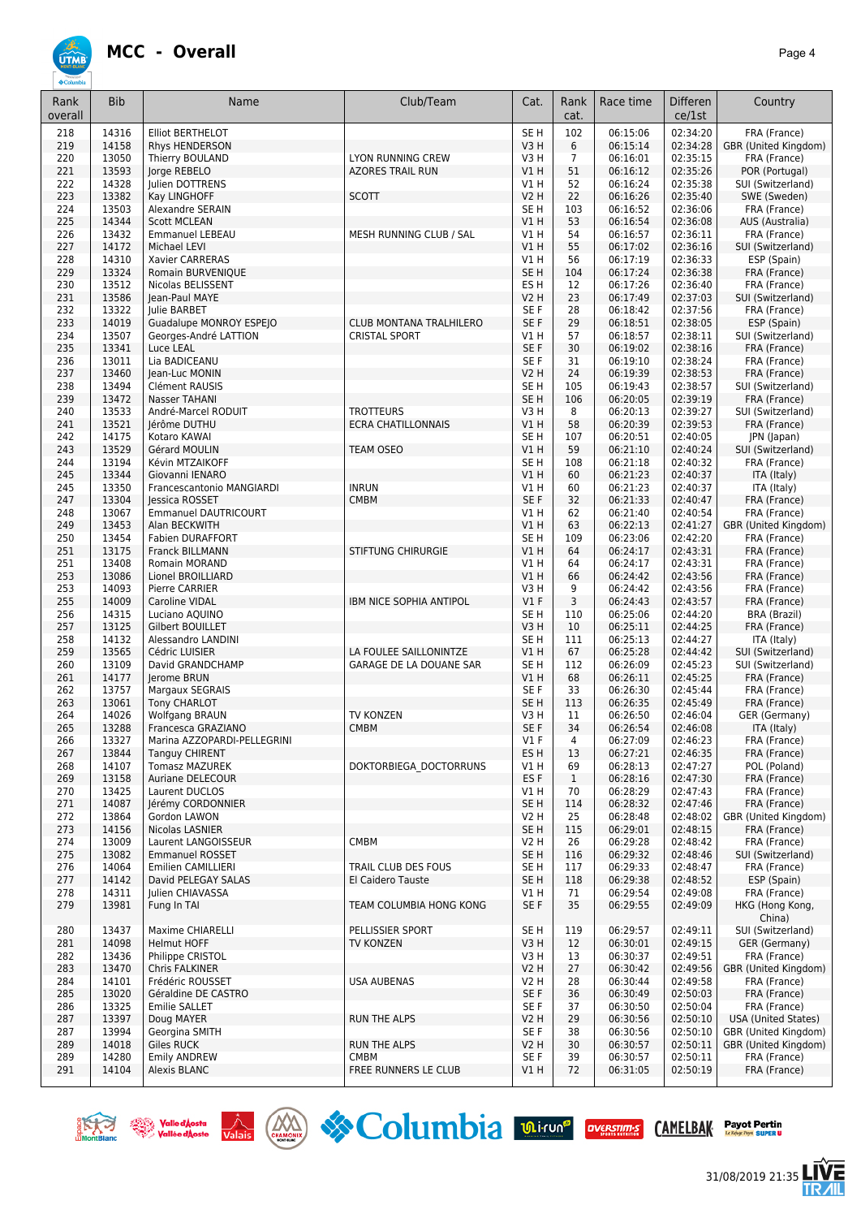

| Rank<br>overall | <b>Bib</b>     | Name                                          | Club/Team                                           | Cat.                               | Rank<br>cat.         | Race time            | <b>Differen</b><br>ce/1st | Country                                      |
|-----------------|----------------|-----------------------------------------------|-----------------------------------------------------|------------------------------------|----------------------|----------------------|---------------------------|----------------------------------------------|
| 218             | 14316          | <b>Elliot BERTHELOT</b>                       |                                                     | SE <sub>H</sub>                    | 102                  | 06:15:06             | 02:34:20                  | FRA (France)                                 |
| 219             | 14158          | Rhys HENDERSON                                |                                                     | V3H                                | 6                    | 06:15:14             | 02:34:28                  | GBR (United Kingdom)                         |
| 220<br>221      | 13050<br>13593 | Thierry BOULAND<br>Jorge REBELO               | <b>LYON RUNNING CREW</b><br><b>AZORES TRAIL RUN</b> | V3 H<br>V1H                        | $\overline{7}$<br>51 | 06:16:01<br>06:16:12 | 02:35:15<br>02:35:26      | FRA (France)<br>POR (Portugal)               |
| 222             | 14328          | Julien DOTTRENS                               |                                                     | V1 H                               | 52                   | 06:16:24             | 02:35:38                  | SUI (Switzerland)                            |
| 223             | 13382          | Kay LINGHOFF                                  | <b>SCOTT</b>                                        | <b>V2 H</b>                        | 22                   | 06:16:26             | 02:35:40                  | SWE (Sweden)                                 |
| 224             | 13503          | Alexandre SERAIN                              |                                                     | SE <sub>H</sub>                    | 103                  | 06:16:52             | 02:36:06                  | FRA (France)                                 |
| 225             | 14344          | <b>Scott MCLEAN</b>                           |                                                     | V1H                                | 53                   | 06:16:54             | 02:36:08                  | AUS (Australia)                              |
| 226<br>227      | 13432<br>14172 | <b>Emmanuel LEBEAU</b><br>Michael LEVI        | MESH RUNNING CLUB / SAL                             | V1 H<br>V1H                        | 54<br>55             | 06:16:57<br>06:17:02 | 02:36:11<br>02:36:16      | FRA (France)<br>SUI (Switzerland)            |
| 228             | 14310          | Xavier CARRERAS                               |                                                     | V1 H                               | 56                   | 06:17:19             | 02:36:33                  | ESP (Spain)                                  |
| 229             | 13324          | Romain BURVENIQUE                             |                                                     | SE <sub>H</sub>                    | 104                  | 06:17:24             | 02:36:38                  | FRA (France)                                 |
| 230             | 13512          | Nicolas BELISSENT                             |                                                     | ES <sub>H</sub>                    | 12                   | 06:17:26             | 02:36:40                  | FRA (France)                                 |
| 231             | 13586          | Jean-Paul MAYE                                |                                                     | V <sub>2</sub> H                   | 23                   | 06:17:49             | 02:37:03                  | SUI (Switzerland)                            |
| 232<br>233      | 13322<br>14019 | Julie BARBET<br>Guadalupe MONROY ESPEJO       | <b>CLUB MONTANA TRALHILERO</b>                      | SE <sub>F</sub><br>SE F            | 28<br>29             | 06:18:42<br>06:18:51 | 02:37:56<br>02:38:05      | FRA (France)<br>ESP (Spain)                  |
| 234             | 13507          | Georges-André LATTION                         | <b>CRISTAL SPORT</b>                                | V1 H                               | 57                   | 06:18:57             | 02:38:11                  | SUI (Switzerland)                            |
| 235             | 13341          | Luce LEAL                                     |                                                     | SE F                               | 30                   | 06:19:02             | 02:38:16                  | FRA (France)                                 |
| 236             | 13011          | Lia BADICEANU                                 |                                                     | SE F                               | 31                   | 06:19:10             | 02:38:24                  | FRA (France)                                 |
| 237             | 13460          | Jean-Luc MONIN                                |                                                     | <b>V2 H</b>                        | 24                   | 06:19:39             | 02:38:53                  | FRA (France)                                 |
| 238             | 13494          | Clément RAUSIS<br>Nasser TAHANI               |                                                     | SE <sub>H</sub><br>SE <sub>H</sub> | 105<br>106           | 06:19:43<br>06:20:05 | 02:38:57                  | SUI (Switzerland)                            |
| 239<br>240      | 13472<br>13533 | André-Marcel RODUIT                           | <b>TROTTEURS</b>                                    | V3H                                | 8                    | 06:20:13             | 02:39:19<br>02:39:27      | FRA (France)<br>SUI (Switzerland)            |
| 241             | 13521          | Jérôme DUTHU                                  | <b>ECRA CHATILLONNAIS</b>                           | V1 H                               | 58                   | 06:20:39             | 02:39:53                  | FRA (France)                                 |
| 242             | 14175          | Kotaro KAWAI                                  |                                                     | SE <sub>H</sub>                    | 107                  | 06:20:51             | 02:40:05                  | JPN (Japan)                                  |
| 243             | 13529          | Gérard MOULIN                                 | <b>TEAM OSEO</b>                                    | V1H                                | 59                   | 06:21:10             | 02:40:24                  | SUI (Switzerland)                            |
| 244             | 13194          | Kévin MTZAIKOFF                               |                                                     | SE <sub>H</sub>                    | 108                  | 06:21:18             | 02:40:32                  | FRA (France)                                 |
| 245<br>245      | 13344<br>13350 | Giovanni IENARO<br>Francescantonio MANGIARDI  | <b>INRUN</b>                                        | V1H<br>V1 H                        | 60<br>60             | 06:21:23<br>06:21:23 | 02:40:37<br>02:40:37      | ITA (Italy)<br>ITA (Italy)                   |
| 247             | 13304          | lessica ROSSET                                | <b>CMBM</b>                                         | SE F                               | 32                   | 06:21:33             | 02:40:47                  | FRA (France)                                 |
| 248             | 13067          | <b>Emmanuel DAUTRICOURT</b>                   |                                                     | V1 H                               | 62                   | 06:21:40             | 02:40:54                  | FRA (France)                                 |
| 249             | 13453          | Alan BECKWITH                                 |                                                     | V1H                                | 63                   | 06:22:13             | 02:41:27                  | GBR (United Kingdom)                         |
| 250             | 13454          | Fabien DURAFFORT                              |                                                     | SE <sub>H</sub>                    | 109                  | 06:23:06             | 02:42:20                  | FRA (France)                                 |
| 251<br>251      | 13175<br>13408 | Franck BILLMANN<br>Romain MORAND              | <b>STIFTUNG CHIRURGIE</b>                           | V1H<br>V1 H                        | 64<br>64             | 06:24:17<br>06:24:17 | 02:43:31<br>02:43:31      | FRA (France)<br>FRA (France)                 |
| 253             | 13086          | Lionel BROILLIARD                             |                                                     | V1 H                               | 66                   | 06:24:42             | 02:43:56                  | FRA (France)                                 |
| 253             | 14093          | <b>Pierre CARRIER</b>                         |                                                     | V3 H                               | 9                    | 06:24:42             | 02:43:56                  | FRA (France)                                 |
| 255             | 14009          | Caroline VIDAL                                | IBM NICE SOPHIA ANTIPOL                             | $VI$ F                             | 3                    | 06:24:43             | 02:43:57                  | FRA (France)                                 |
| 256             | 14315          | Luciano AQUINO                                |                                                     | SE <sub>H</sub>                    | 110                  | 06:25:06             | 02:44:20                  | BRA (Brazil)                                 |
| 257<br>258      | 13125<br>14132 | Gilbert BOUILLET<br>Alessandro LANDINI        |                                                     | V3H<br>SE <sub>H</sub>             | 10<br>111            | 06:25:11<br>06:25:13 | 02:44:25<br>02:44:27      | FRA (France)<br>ITA (Italy)                  |
| 259             | 13565          | Cédric LUISIER                                | LA FOULEE SAILLONINTZE                              | V1H                                | 67                   | 06:25:28             | 02:44:42                  | SUI (Switzerland)                            |
| 260             | 13109          | David GRANDCHAMP                              | GARAGE DE LA DOUANE SAR                             | SE <sub>H</sub>                    | 112                  | 06:26:09             | 02:45:23                  | SUI (Switzerland)                            |
| 261             | 14177          | Jerome BRUN                                   |                                                     | V1H                                | 68                   | 06:26:11             | 02:45:25                  | FRA (France)                                 |
| 262             | 13757          | Margaux SEGRAIS                               |                                                     | SE F                               | 33                   | 06:26:30             | 02:45:44                  | FRA (France)                                 |
| 263<br>264      | 13061<br>14026 | <b>Tony CHARLOT</b><br><b>Wolfgang BRAUN</b>  | TV KONZEN                                           | SE <sub>H</sub><br>V3 H            | 113<br>11            | 06:26:35<br>06:26:50 | 02:45:49<br>02:46:04      | FRA (France)<br>GER (Germany)                |
| 265             | 13288          | Francesca GRAZIANO                            | <b>CMBM</b>                                         | SE <sub>F</sub>                    | 34                   | 06:26:54             | 02:46:08                  | ITA (Italy)                                  |
| 266             | 13327          | Marina AZZOPARDI-PELLEGRINI                   |                                                     | V1 F                               | 4                    | 06:27:09             | 02:46:23                  | FRA (France)                                 |
| 267             | 13844          | <b>Tanguy CHIRENT</b>                         |                                                     | ES H                               | 13                   | 06:27:21             | 02:46:35                  | FRA (France)                                 |
| 268             | 14107          | <b>Tomasz MAZUREK</b>                         | DOKTORBIEGA DOCTORRUNS                              | V1 H                               | 69                   | 06:28:13             | 02:47:27                  | POL (Poland)                                 |
| 269<br>270      | 13158<br>13425 | Auriane DELECOUR<br>Laurent DUCLOS            |                                                     | ES <sub>F</sub><br>V1 H            | $\mathbf{1}$<br>70   | 06:28:16<br>06:28:29 | 02:47:30<br>02:47:43      | FRA (France)<br>FRA (France)                 |
| 271             | 14087          | Jérémy CORDONNIER                             |                                                     | SE <sub>H</sub>                    | 114                  | 06:28:32             | 02:47:46                  | FRA (France)                                 |
| 272             | 13864          | Gordon LAWON                                  |                                                     | V <sub>2</sub> H                   | 25                   | 06:28:48             | 02:48:02                  | GBR (United Kingdom)                         |
| 273             | 14156          | Nicolas LASNIER                               |                                                     | SE <sub>H</sub>                    | 115                  | 06:29:01             | 02:48:15                  | FRA (France)                                 |
| 274             | 13009          | Laurent LANGOISSEUR<br><b>Emmanuel ROSSET</b> | CMBM                                                | V <sub>2</sub> H                   | 26                   | 06:29:28             | 02:48:42                  | FRA (France)                                 |
| 275<br>276      | 13082<br>14064 | Emilien CAMILLIERI                            | TRAIL CLUB DES FOUS                                 | SE <sub>H</sub><br>SE H            | 116<br>117           | 06:29:32<br>06:29:33 | 02:48:46<br>02:48:47      | SUI (Switzerland)<br>FRA (France)            |
| 277             | 14142          | David PELEGAY SALAS                           | El Caidero Tauste                                   | SE H                               | 118                  | 06:29:38             | 02:48:52                  | ESP (Spain)                                  |
| 278             | 14311          | Julien CHIAVASSA                              |                                                     | V1 H                               | 71                   | 06:29:54             | 02:49:08                  | FRA (France)                                 |
| 279             | 13981          | Fung In TAI                                   | TEAM COLUMBIA HONG KONG                             | SE F                               | 35                   | 06:29:55             | 02:49:09                  | HKG (Hong Kong,<br>China)                    |
| 280             | 13437          | Maxime CHIARELLI                              | PELLISSIER SPORT                                    | SE <sub>H</sub>                    | 119                  | 06:29:57             | 02:49:11                  | SUI (Switzerland)                            |
| 281             | 14098          | <b>Helmut HOFF</b>                            | TV KONZEN                                           | V3H                                | 12                   | 06:30:01             | 02:49:15                  | GER (Germany)                                |
| 282<br>283      | 13436<br>13470 | Philippe CRISTOL<br>Chris FALKINER            |                                                     | V3 H<br>V <sub>2</sub> H           | 13<br>27             | 06:30:37<br>06:30:42 | 02:49:51<br>02:49:56      | FRA (France)<br>GBR (United Kingdom)         |
| 284             | 14101          | Frédéric ROUSSET                              | <b>USA AUBENAS</b>                                  | V2 H                               | 28                   | 06:30:44             | 02:49:58                  | FRA (France)                                 |
| 285             | 13020          | Géraldine DE CASTRO                           |                                                     | SE F                               | 36                   | 06:30:49             | 02:50:03                  | FRA (France)                                 |
| 286             | 13325          | <b>Emilie SALLET</b>                          |                                                     | SE F                               | 37                   | 06:30:50             | 02:50:04                  | FRA (France)                                 |
| 287             | 13397          | Doug MAYER                                    | <b>RUN THE ALPS</b>                                 | V2 H                               | 29                   | 06:30:56             | 02:50:10                  | <b>USA (United States)</b>                   |
| 287<br>289      | 13994<br>14018 | Georgina SMITH<br>Giles RUCK                  | <b>RUN THE ALPS</b>                                 | SE F<br>V2 H                       | 38<br>30             | 06:30:56<br>06:30:57 | 02:50:10<br>02:50:11      | GBR (United Kingdom)<br>GBR (United Kingdom) |
| 289             | 14280          | <b>Emily ANDREW</b>                           | <b>CMBM</b>                                         | SE F                               | 39                   | 06:30:57             | 02:50:11                  | FRA (France)                                 |
| 291             | 14104          | Alexis BLANC                                  | FREE RUNNERS LE CLUB                                | V1 H                               | 72                   | 06:31:05             | 02:50:19                  | FRA (France)                                 |







```
Payot Pertin<br>Longs ng Sures U
```
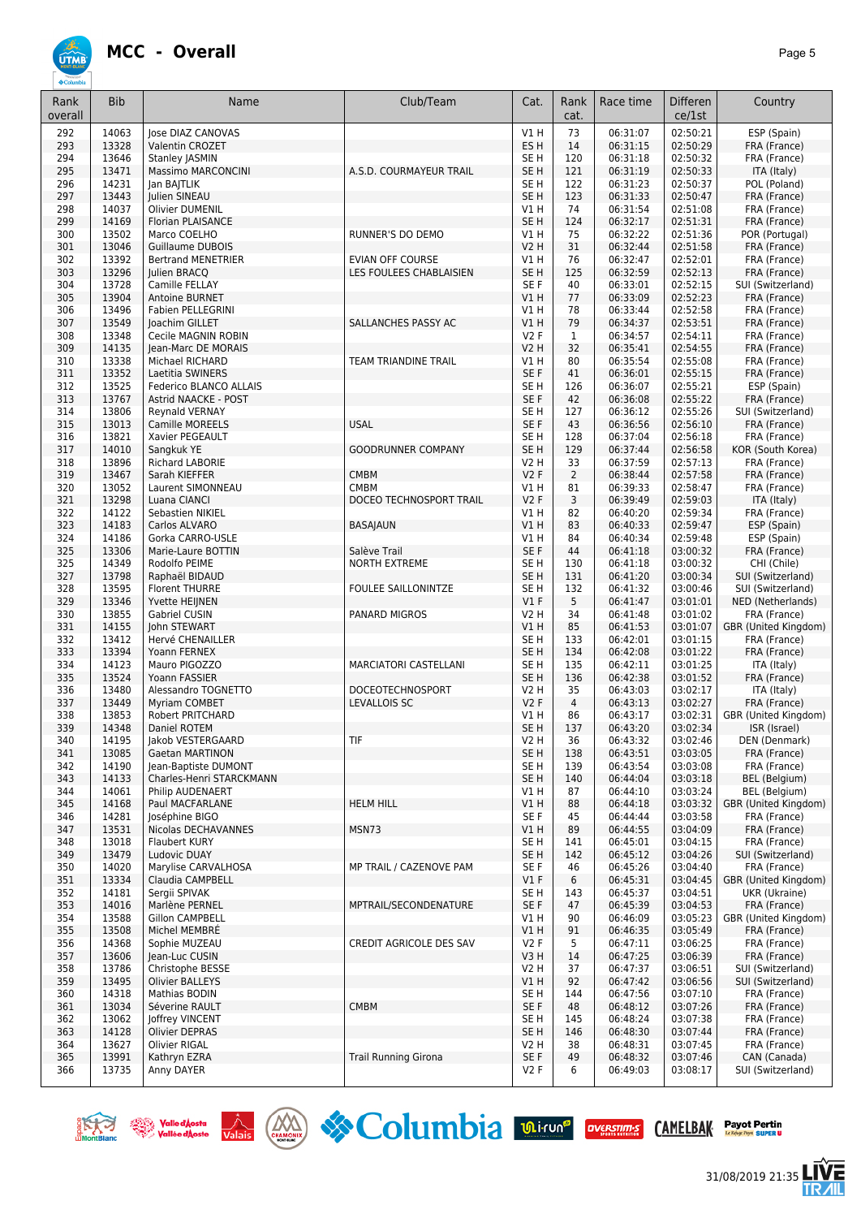## **UTMB**

| Rank<br>overall | <b>Bib</b>     | Name                                        | Club/Team                            | Cat.                           | Rank<br>cat.   | Race time            | <b>Differen</b><br>ce/1st | Country                               |
|-----------------|----------------|---------------------------------------------|--------------------------------------|--------------------------------|----------------|----------------------|---------------------------|---------------------------------------|
| 292             | 14063          | Jose DIAZ CANOVAS                           |                                      | V1 H                           | 73             | 06:31:07             | 02:50:21                  | ESP (Spain)                           |
| 293             | 13328          | Valentin CROZET                             |                                      | ES <sub>H</sub>                | 14             | 06:31:15             | 02:50:29                  | FRA (France)                          |
| 294             | 13646          | <b>Stanley JASMIN</b>                       |                                      | SE H                           | 120            | 06:31:18             | 02:50:32                  | FRA (France)                          |
| 295             | 13471          | Massimo MARCONCINI                          | A.S.D. COURMAYEUR TRAIL              | SE <sub>H</sub>                | 121            | 06:31:19             | 02:50:33                  | ITA (Italy)                           |
| 296             | 14231          | Jan BAJTLIK                                 |                                      | SE H                           | 122            | 06:31:23             | 02:50:37                  | POL (Poland)                          |
| 297             | 13443          | Julien SINEAU                               |                                      | SE <sub>H</sub>                | 123            | 06:31:33             | 02:50:47                  | FRA (France)                          |
| 298<br>299      | 14037<br>14169 | <b>Olivier DUMENIL</b><br>Florian PLAISANCE |                                      | V1 H<br>SE <sub>H</sub>        | 74<br>124      | 06:31:54<br>06:32:17 | 02:51:08<br>02:51:31      | FRA (France)<br>FRA (France)          |
| 300             | 13502          | Marco COELHO                                | RUNNER'S DO DEMO                     | V1 H                           | 75             | 06:32:22             | 02:51:36                  | POR (Portugal)                        |
| 301             | 13046          | <b>Guillaume DUBOIS</b>                     |                                      | <b>V2 H</b>                    | 31             | 06:32:44             | 02:51:58                  | FRA (France)                          |
| 302             | 13392          | <b>Bertrand MENETRIER</b>                   | EVIAN OFF COURSE                     | V1 H                           | 76             | 06:32:47             | 02:52:01                  | FRA (France)                          |
| 303             | 13296          | Julien BRACQ                                | LES FOULEES CHABLAISIEN              | SE <sub>H</sub>                | 125            | 06:32:59             | 02:52:13                  | FRA (France)                          |
| 304             | 13728          | Camille FELLAY                              |                                      | SE F                           | 40             | 06:33:01             | 02:52:15                  | SUI (Switzerland)                     |
| 305             | 13904          | Antoine BURNET                              |                                      | VIH                            | 77             | 06:33:09             | 02:52:23                  | FRA (France)                          |
| 306             | 13496          | Fabien PELLEGRINI                           |                                      | V1 H                           | 78             | 06:33:44             | 02:52:58                  | FRA (France)                          |
| 307             | 13549          | Joachim GILLET                              | SALLANCHES PASSY AC                  | VIH                            | 79             | 06:34:37             | 02:53:51                  | FRA (France)                          |
| 308             | 13348          | Cecile MAGNIN ROBIN                         |                                      | V2F                            | $\mathbf{1}$   | 06:34:57             | 02:54:11                  | FRA (France)                          |
| 309             | 14135          | Jean-Marc DE MORAIS                         |                                      | <b>V2 H</b>                    | 32             | 06:35:41             | 02:54:55                  | FRA (France)                          |
| 310             | 13338          | Michael RICHARD                             | TEAM TRIANDINE TRAIL                 | V1 H                           | 80             | 06:35:54             | 02:55:08                  | FRA (France)                          |
| 311<br>312      | 13352<br>13525 | Laetitia SWINERS<br>Federico BLANCO ALLAIS  |                                      | SE F<br>SE <sub>H</sub>        | 41<br>126      | 06:36:01<br>06:36:07 | 02:55:15<br>02:55:21      | FRA (France)<br>ESP (Spain)           |
| 313             | 13767          | <b>Astrid NAACKE - POST</b>                 |                                      | SE F                           | 42             | 06:36:08             | 02:55:22                  | FRA (France)                          |
| 314             | 13806          | Reynald VERNAY                              |                                      | SE <sub>H</sub>                | 127            | 06:36:12             | 02:55:26                  | SUI (Switzerland)                     |
| 315             | 13013          | Camille MOREELS                             | <b>USAL</b>                          | SE F                           | 43             | 06:36:56             | 02:56:10                  | FRA (France)                          |
| 316             | 13821          | Xavier PEGEAULT                             |                                      | SE <sub>H</sub>                | 128            | 06:37:04             | 02:56:18                  | FRA (France)                          |
| 317             | 14010          | Sangkuk YE                                  | <b>GOODRUNNER COMPANY</b>            | SE <sub>H</sub>                | 129            | 06:37:44             | 02:56:58                  | KOR (South Korea)                     |
| 318             | 13896          | Richard LABORIE                             |                                      | V2 H                           | 33             | 06:37:59             | 02:57:13                  | FRA (France)                          |
| 319             | 13467          | Sarah KIEFFER                               | <b>CMBM</b>                          | V2F                            | 2              | 06:38:44             | 02:57:58                  | FRA (France)                          |
| 320             | 13052          | Laurent SIMONNEAU                           | <b>CMBM</b>                          | V1 H                           | 81             | 06:39:33             | 02:58:47                  | FRA (France)                          |
| 321             | 13298          | Luana CIANCI                                | DOCEO TECHNOSPORT TRAIL              | V2F                            | 3              | 06:39:49             | 02:59:03                  | ITA (Italy)                           |
| 322             | 14122          | Sebastien NIKIEL                            |                                      | V1 H                           | 82             | 06:40:20             | 02:59:34                  | FRA (France)                          |
| 323             | 14183          | Carlos ALVARO                               | <b>BASAJAUN</b>                      | V1H                            | 83             | 06:40:33             | 02:59:47                  | ESP (Spain)                           |
| 324             | 14186<br>13306 | Gorka CARRO-USLE                            |                                      | V1 H                           | 84             | 06:40:34             | 02:59:48                  | ESP (Spain)                           |
| 325<br>325      | 14349          | Marie-Laure BOTTIN<br>Rodolfo PEIME         | Salève Trail<br><b>NORTH EXTREME</b> | SE F<br>SE <sub>H</sub>        | 44<br>130      | 06:41:18<br>06:41:18 | 03:00:32<br>03:00:32      | FRA (France)<br>CHI (Chile)           |
| 327             | 13798          | Raphaël BIDAUD                              |                                      | SE <sub>H</sub>                | 131            | 06:41:20             | 03:00:34                  | SUI (Switzerland)                     |
| 328             | 13595          | <b>Florent THURRE</b>                       | <b>FOULEE SAILLONINTZE</b>           | SE <sub>H</sub>                | 132            | 06:41:32             | 03:00:46                  | SUI (Switzerland)                     |
| 329             | 13346          | Yvette HEIJNEN                              |                                      | $VI$ F                         | 5              | 06:41:47             | 03:01:01                  | NED (Netherlands)                     |
| 330             | 13855          | Gabriel CUSIN                               | PANARD MIGROS                        | <b>V2 H</b>                    | 34             | 06:41:48             | 03:01:02                  | FRA (France)                          |
| 331             | 14155          | John STEWART                                |                                      | V1 H                           | 85             | 06:41:53             | 03:01:07                  | GBR (United Kingdom)                  |
| 332             | 13412          | Hervé CHENAILLER                            |                                      | SE H                           | 133            | 06:42:01             | 03:01:15                  | FRA (France)                          |
| 333             | 13394          | Yoann FERNEX                                |                                      | SE <sub>H</sub>                | 134            | 06:42:08             | 03:01:22                  | FRA (France)                          |
| 334             | 14123          | Mauro PIGOZZO                               | MARCIATORI CASTELLANI                | SE <sub>H</sub>                | 135            | 06:42:11             | 03:01:25                  | ITA (Italy)                           |
| 335             | 13524          | Yoann FASSIER                               |                                      | SE <sub>H</sub>                | 136            | 06:42:38             | 03:01:52                  | FRA (France)                          |
| 336             | 13480          | Alessandro TOGNETTO                         | DOCEOTECHNOSPORT                     | V2 H                           | 35             | 06:43:03             | 03:02:17                  | ITA (Italy)                           |
| 337             | 13449          | <b>Myriam COMBET</b>                        | LEVALLOIS SC                         | V2F                            | $\overline{4}$ | 06:43:13             | 03:02:27                  | FRA (France)                          |
| 338<br>339      | 13853<br>14348 | Robert PRITCHARD                            |                                      | V1 H                           | 86             | 06:43:17             | 03:02:31<br>03:02:34      | GBR (United Kingdom)                  |
| 340             | 14195          | Daniel ROTEM<br>Jakob VESTERGAARD           | TIF                                  | SE <sub>H</sub><br><b>V2 H</b> | 137<br>36      | 06:43:20<br>06:43:32 | 03:02:46                  | ISR (Israel)<br>DEN (Denmark)         |
| 341             | 13085          | Gaetan MARTINON                             |                                      | SE <sub>H</sub>                | 138            | 06:43:51             | 03:03:05                  | FRA (France)                          |
| 342             | 14190          | Jean-Baptiste DUMONT                        |                                      | SE H                           | 139            | 06:43:54             | 03:03:08                  | FRA (France)                          |
| 343             | 14133          | Charles-Henri STARCKMANN                    |                                      | SE <sub>H</sub>                | 140            | 06:44:04             | 03:03:18                  | BEL (Belgium)                         |
| 344             | 14061          | Philip AUDENAERT                            |                                      | V1 H                           | 87             | 06:44:10             | 03:03:24                  | <b>BEL</b> (Belgium)                  |
| 345             | 14168          | Paul MACFARLANE                             | <b>HELM HILL</b>                     | V1 H                           | 88             | 06:44:18             | 03:03:32                  | GBR (United Kingdom)                  |
| 346             | 14281          | Joséphine BIGO                              |                                      | SE F                           | 45             | 06:44:44             | 03:03:58                  | FRA (France)                          |
| 347             | 13531          | Nicolas DECHAVANNES                         | MSN73                                | V1 H                           | 89             | 06:44:55             | 03:04:09                  | FRA (France)                          |
| 348             | 13018          | Flaubert KURY                               |                                      | SE H                           | 141            | 06:45:01             | 03:04:15                  | FRA (France)                          |
| 349             | 13479          | Ludovic DUAY                                |                                      | SE <sub>H</sub>                | 142            | 06:45:12             | 03:04:26                  | SUI (Switzerland)                     |
| 350             | 14020          | Marylise CARVALHOSA<br>Claudia CAMPBELL     | MP TRAIL / CAZENOVE PAM              | SE F                           | 46             | 06:45:26             | 03:04:40                  | FRA (France)                          |
| 351<br>352      | 13334<br>14181 | Sergii SPIVAK                               |                                      | V1F<br>SE H                    | 6<br>143       | 06:45:31<br>06:45:37 | 03:04:45<br>03:04:51      | GBR (United Kingdom)<br>UKR (Ukraine) |
| 353             | 14016          | Marlène PERNEL                              | MPTRAIL/SECONDENATURE                | SE F                           | 47             | 06:45:39             | 03:04:53                  | FRA (France)                          |
| 354             | 13588          | Gillon CAMPBELL                             |                                      | V1 H                           | 90             | 06:46:09             | 03:05:23                  | GBR (United Kingdom)                  |
| 355             | 13508          | Michel MEMBRE                               |                                      | V1H                            | 91             | 06:46:35             | 03:05:49                  | FRA (France)                          |
| 356             | 14368          | Sophie MUZEAU                               | CREDIT AGRICOLE DES SAV              | V2F                            | 5              | 06:47:11             | 03:06:25                  | FRA (France)                          |
| 357             | 13606          | Jean-Luc CUSIN                              |                                      | V3H                            | 14             | 06:47:25             | 03:06:39                  | FRA (France)                          |
| 358             | 13786          | Christophe BESSE                            |                                      | V2 H                           | 37             | 06:47:37             | 03:06:51                  | SUI (Switzerland)                     |
| 359             | 13495          | <b>Olivier BALLEYS</b>                      |                                      | V1H                            | 92             | 06:47:42             | 03:06:56                  | SUI (Switzerland)                     |
| 360             | 14318          | Mathias BODIN                               |                                      | SE H                           | 144            | 06:47:56             | 03:07:10                  | FRA (France)                          |
| 361             | 13034          | Séverine RAULT                              | <b>CMBM</b>                          | SE F                           | 48             | 06:48:12             | 03:07:26                  | FRA (France)                          |
| 362             | 13062          | <b>Joffrey VINCENT</b>                      |                                      | SE H                           | 145            | 06:48:24             | 03:07:38                  | FRA (France)                          |
| 363             | 14128          | Olivier DEPRAS                              |                                      | SE <sub>H</sub>                | 146            | 06:48:30             | 03:07:44                  | FRA (France)                          |
| 364<br>365      | 13627<br>13991 | Olivier RIGAL                               |                                      | V2 H<br>SE F                   | 38<br>49       | 06:48:31<br>06:48:32 | 03:07:45<br>03:07:46      | FRA (France)                          |
| 366             | 13735          | Kathryn EZRA<br>Anny DAYER                  | <b>Trail Running Girona</b>          | V2F                            | 6              | 06:49:03             | 03:08:17                  | CAN (Canada)<br>SUI (Switzerland)     |
|                 |                |                                             |                                      |                                |                |                      |                           |                                       |







31/08/2019 21:35

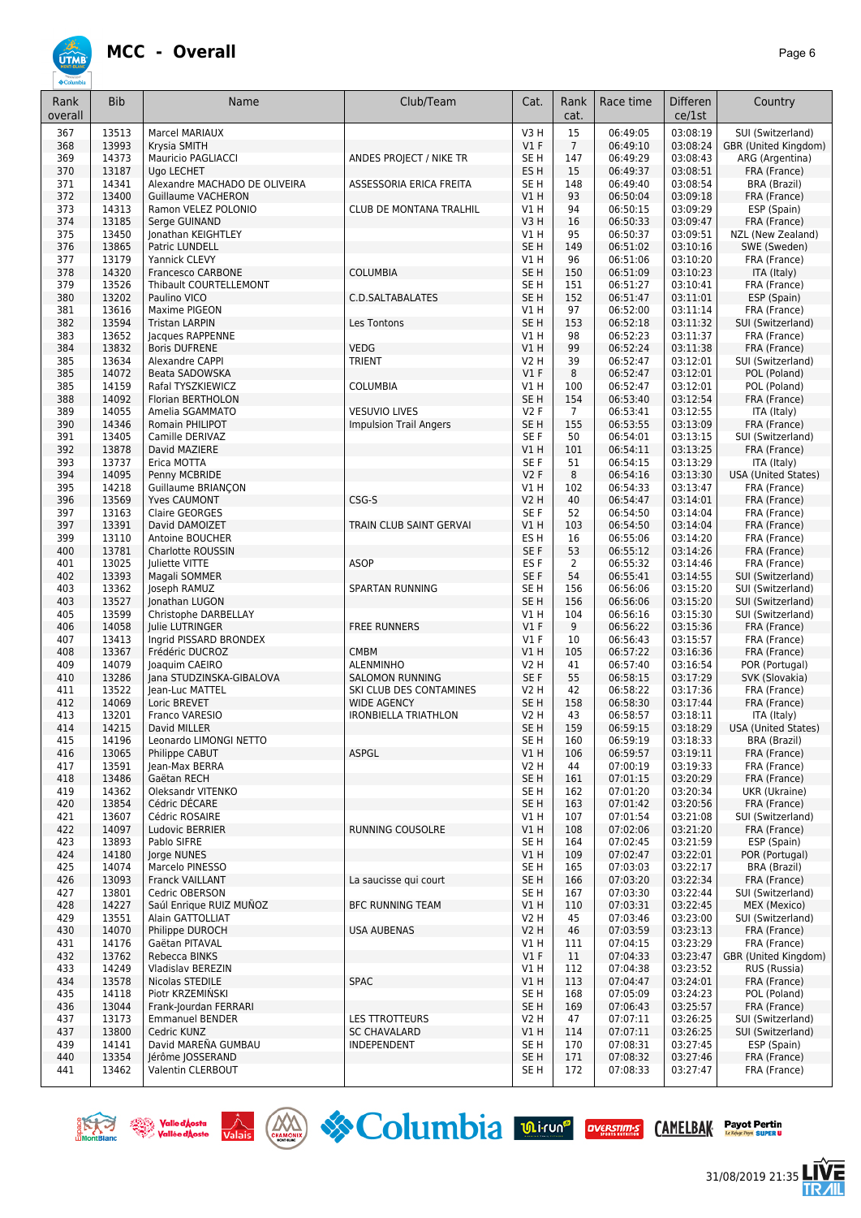

| Rank<br>overall | <b>Bib</b>     | Name                                        | Club/Team                                         | Cat.                           | Rank<br>cat.   | Race time            | Differen<br>ce/1st   | Country                                   |
|-----------------|----------------|---------------------------------------------|---------------------------------------------------|--------------------------------|----------------|----------------------|----------------------|-------------------------------------------|
| 367             | 13513          | <b>Marcel MARIAUX</b>                       |                                                   | V3H                            | 15             | 06:49:05             | 03:08:19             | SUI (Switzerland)                         |
| 368             | 13993          | Krysia SMITH                                |                                                   | V1F                            | $\overline{7}$ | 06:49:10             | 03:08:24             | GBR (United Kingdom)                      |
| 369             | 14373          | Mauricio PAGLIACCI                          | ANDES PROJECT / NIKE TR                           | SE <sub>H</sub>                | 147            | 06:49:29             | 03:08:43             | ARG (Argentina)                           |
| 370             | 13187          | Ugo LECHET                                  |                                                   | ES <sub>H</sub>                | 15             | 06:49:37             | 03:08:51             | FRA (France)                              |
| 371             | 14341          | Alexandre MACHADO DE OLIVEIRA               | ASSESSORIA ERICA FREITA                           | SE <sub>H</sub>                | 148            | 06:49:40             | 03:08:54             | <b>BRA (Brazil)</b>                       |
| 372             | 13400          | <b>Guillaume VACHERON</b>                   |                                                   | V1H                            | 93             | 06:50:04             | 03:09:18             | FRA (France)                              |
| 373             | 14313          | Ramon VELEZ POLONIO                         | <b>CLUB DE MONTANA TRALHIL</b>                    | V1 H                           | 94             | 06:50:15             | 03:09:29             | ESP (Spain)                               |
| 374             | 13185          | Serge GUINAND                               |                                                   | V3H                            | 16             | 06:50:33             | 03:09:47             | FRA (France)                              |
| 375             | 13450          | Jonathan KEIGHTLEY                          |                                                   | V1 H                           | 95             | 06:50:37             | 03:09:51             | NZL (New Zealand)                         |
| 376             | 13865          | Patric LUNDELL                              |                                                   | SE <sub>H</sub>                | 149            | 06:51:02             | 03:10:16             | SWE (Sweden)                              |
| 377             | 13179          | Yannick CLEVY                               |                                                   | V1 H                           | 96             | 06:51:06             | 03:10:20             | FRA (France)                              |
| 378             | 14320          | <b>Francesco CARBONE</b>                    | <b>COLUMBIA</b>                                   | SE <sub>H</sub>                | 150            | 06:51:09             | 03:10:23             | ITA (Italy)                               |
| 379             | 13526          | Thibault COURTELLEMONT                      |                                                   | SE <sub>H</sub>                | 151            | 06:51:27             | 03:10:41             | FRA (France)                              |
| 380<br>381      | 13202<br>13616 | Paulino VICO<br>Maxime PIGEON               | C.D.SALTABALATES                                  | SE <sub>H</sub><br>V1 H        | 152<br>97      | 06:51:47<br>06:52:00 | 03:11:01<br>03:11:14 | ESP (Spain)<br>FRA (France)               |
| 382             | 13594          | <b>Tristan LARPIN</b>                       | Les Tontons                                       | SE <sub>H</sub>                | 153            | 06:52:18             | 03:11:32             | SUI (Switzerland)                         |
| 383             | 13652          | Jacques RAPPENNE                            |                                                   | V1 H                           | 98             | 06:52:23             | 03:11:37             | FRA (France)                              |
| 384             | 13832          | <b>Boris DUFRENE</b>                        | VEDG                                              | VIH                            | 99             | 06:52:24             | 03:11:38             | FRA (France)                              |
| 385             | 13634          | Alexandre CAPPI                             | <b>TRIENT</b>                                     | <b>V2 H</b>                    | 39             | 06:52:47             | 03:12:01             | SUI (Switzerland)                         |
| 385             | 14072          | Beata SADOWSKA                              |                                                   | $VI$ F                         | 8              | 06:52:47             | 03:12:01             | POL (Poland)                              |
| 385             | 14159          | Rafal TYSZKIEWICZ                           | <b>COLUMBIA</b>                                   | V1 H                           | 100            | 06:52:47             | 03:12:01             | POL (Poland)                              |
| 388             | 14092          | Florian BERTHOLON                           |                                                   | SE <sub>H</sub>                | 154            | 06:53:40             | 03:12:54             | FRA (France)                              |
| 389             | 14055          | Amelia SGAMMATO                             | <b>VESUVIO LIVES</b>                              | V2F                            | $\overline{7}$ | 06:53:41             | 03:12:55             | ITA (Italy)                               |
| 390             | 14346          | Romain PHILIPOT                             | <b>Impulsion Trail Angers</b>                     | SE <sub>H</sub>                | 155            | 06:53:55             | 03:13:09             | FRA (France)                              |
| 391             | 13405          | Camille DERIVAZ                             |                                                   | SE F                           | 50             | 06:54:01             | 03:13:15             | SUI (Switzerland)                         |
| 392             | 13878          | David MAZIERE                               |                                                   | V1H                            | 101            | 06:54:11             | 03:13:25             | FRA (France)                              |
| 393             | 13737          | Erica MOTTA                                 |                                                   | SE F                           | 51             | 06:54:15             | 03:13:29             | ITA (Italy)                               |
| 394             | 14095          | Penny MCBRIDE                               |                                                   | V2F                            | 8              | 06:54:16             | 03:13:30             | <b>USA (United States)</b>                |
| 395             | 14218          | Guillaume BRIANÇON                          |                                                   | V1 H                           | 102            | 06:54:33             | 03:13:47             | FRA (France)                              |
| 396             | 13569          | <b>Yves CAUMONT</b>                         | CSG-S                                             | <b>V2 H</b>                    | 40             | 06:54:47             | 03:14:01             | FRA (France)                              |
| 397<br>397      | 13163<br>13391 | Claire GEORGES<br>David DAMOIZET            | TRAIN CLUB SAINT GERVAI                           | SE F<br>V1H                    | 52<br>103      | 06:54:50<br>06:54:50 | 03:14:04<br>03:14:04 | FRA (France)<br>FRA (France)              |
| 399             | 13110          | Antoine BOUCHER                             |                                                   | ES <sub>H</sub>                | 16             | 06:55:06             | 03:14:20             | FRA (France)                              |
| 400             | 13781          | Charlotte ROUSSIN                           |                                                   | SE F                           | 53             | 06:55:12             | 03:14:26             | FRA (France)                              |
| 401             | 13025          | <b>Juliette VITTE</b>                       | <b>ASOP</b>                                       | ES <sub>F</sub>                | 2              | 06:55:32             | 03:14:46             | FRA (France)                              |
| 402             | 13393          | Magali SOMMER                               |                                                   | SE F                           | 54             | 06:55:41             | 03:14:55             | SUI (Switzerland)                         |
| 403             | 13362          | Joseph RAMUZ                                | SPARTAN RUNNING                                   | SE H                           | 156            | 06:56:06             | 03:15:20             | SUI (Switzerland)                         |
| 403             | 13527          | Jonathan LUGON                              |                                                   | SE <sub>H</sub>                | 156            | 06:56:06             | 03:15:20             | SUI (Switzerland)                         |
| 405             | 13599          | Christophe DARBELLAY                        |                                                   | V1H                            | 104            | 06:56:16             | 03:15:30             | SUI (Switzerland)                         |
| 406             | 14058          | Julie LUTRINGER                             | <b>FREE RUNNERS</b>                               | $VI$ F                         | 9              | 06:56:22             | 03:15:36             | FRA (France)                              |
| 407             | 13413          | Ingrid PISSARD BRONDEX                      |                                                   | $VI$ F                         | 10             | 06:56:43             | 03:15:57             | FRA (France)                              |
| 408             | 13367          | Frédéric DUCROZ                             | <b>CMBM</b>                                       | VIH                            | 105            | 06:57:22             | 03:16:36             | FRA (France)                              |
| 409             | 14079          | Joaquim CAEIRO                              | <b>ALENMINHO</b>                                  | <b>V2 H</b>                    | 41             | 06:57:40             | 03:16:54             | POR (Portugal)                            |
| 410             | 13286          | Jana STUDZINSKA-GIBALOVA                    | SALOMON RUNNING                                   | SE F                           | 55             | 06:58:15             | 03:17:29             | SVK (Slovakia)                            |
| 411             | 13522          | Jean-Luc MATTEL                             | SKI CLUB DES CONTAMINES                           | <b>V2 H</b>                    | 42             | 06:58:22             | 03:17:36             | FRA (France)                              |
| 412<br>413      | 14069<br>13201 | Loric BREVET<br>Franco VARESIO              | <b>WIDE AGENCY</b><br><b>IRONBIELLA TRIATHLON</b> | SE <sub>H</sub><br><b>V2 H</b> | 158<br>43      | 06:58:30<br>06:58:57 | 03:17:44<br>03:18:11 | FRA (France)                              |
| 414             | 14215          | David MILLER                                |                                                   | SE <sub>H</sub>                | 159            | 06:59:15             | 03:18:29             | ITA (Italy)<br><b>USA (United States)</b> |
| 415             | 14196          | Leonardo LIMONGI NETTO                      |                                                   | SE <sub>H</sub>                | 160            | 06:59:19             | 03:18:33             | BRA (Brazil)                              |
| 416             | 13065          | Philippe CABUT                              | ASPGL                                             | V1H                            | 106            | 06:59:57             | 03:19:11             | FRA (France)                              |
| 417             | 13591          | Jean-Max BERRA                              |                                                   | V2 H                           | 44             | 07:00:19             | 03:19:33             | FRA (France)                              |
| 418             | 13486          | Gaëtan RECH                                 |                                                   | SE <sub>H</sub>                | 161            | 07:01:15             | 03:20:29             | FRA (France)                              |
| 419             | 14362          | Oleksandr VITENKO                           |                                                   | SE <sub>H</sub>                | 162            | 07:01:20             | 03:20:34             | UKR (Ukraine)                             |
| 420             | 13854          | Cédric DÉCARE                               |                                                   | SE <sub>H</sub>                | 163            | 07:01:42             | 03:20:56             | FRA (France)                              |
| 421             | 13607          | Cédric ROSAIRE                              |                                                   | V1 H                           | 107            | 07:01:54             | 03:21:08             | SUI (Switzerland)                         |
| 422             | 14097          | Ludovic BERRIER                             | RUNNING COUSOLRE                                  | V1H                            | 108            | 07:02:06             | 03:21:20             | FRA (France)                              |
| 423             | 13893          | Pablo SIFRE                                 |                                                   | SE <sub>H</sub>                | 164            | 07:02:45             | 03:21:59             | ESP (Spain)                               |
| 424             | 14180          | Jorge NUNES                                 |                                                   | V1H                            | 109            | 07:02:47             | 03:22:01             | POR (Portugal)                            |
| 425             | 14074          | Marcelo PINESSO                             |                                                   | SE <sub>H</sub>                | 165            | 07:03:03             | 03:22:17             | BRA (Brazil)                              |
| 426             | 13093          | Franck VAILLANT                             | La saucisse qui court                             | SE <sub>H</sub>                | 166            | 07:03:20             | 03:22:34             | FRA (France)                              |
| 427             | 13801          | Cedric OBERSON                              |                                                   | SE <sub>H</sub>                | 167            | 07:03:30             | 03:22:44             | SUI (Switzerland)                         |
| 428<br>429      | 14227<br>13551 | Saúl Enrique RUIZ MUÑOZ<br>Alain GATTOLLIAT | <b>BFC RUNNING TEAM</b>                           | V1H<br>V2 H                    | 110<br>45      | 07:03:31<br>07:03:46 | 03:22:45<br>03:23:00 | MEX (Mexico)<br>SUI (Switzerland)         |
| 430             | 14070          | Philippe DUROCH                             | USA AUBENAS                                       | <b>V2 H</b>                    | 46             | 07:03:59             | 03:23:13             | FRA (France)                              |
| 431             | 14176          | Gaëtan PITAVAL                              |                                                   | V1 H                           | 111            | 07:04:15             | 03:23:29             | FRA (France)                              |
| 432             | 13762          | Rebecca BINKS                               |                                                   | $VI$ F                         | 11             | 07:04:33             | 03:23:47             | GBR (United Kingdom)                      |
| 433             | 14249          | Vladislav BEREZIN                           |                                                   | V1 H                           | 112            | 07:04:38             | 03:23:52             | RUS (Russia)                              |
| 434             | 13578          | Nicolas STEDILE                             | <b>SPAC</b>                                       | V1H                            | 113            | 07:04:47             | 03:24:01             | FRA (France)                              |
| 435             | 14118          | Piotr KRZEMINSKI                            |                                                   | SE <sub>H</sub>                | 168            | 07:05:09             | 03:24:23             | POL (Poland)                              |
| 436             | 13044          | Frank-Jourdan FERRARI                       |                                                   | SE <sub>H</sub>                | 169            | 07:06:43             | 03:25:57             | FRA (France)                              |
| 437             | 13173          | <b>Emmanuel BENDER</b>                      | <b>LES TTROTTEURS</b>                             | <b>V2 H</b>                    | 47             | 07:07:11             | 03:26:25             | SUI (Switzerland)                         |
| 437             | 13800          | Cedric KUNZ                                 | <b>SC CHAVALARD</b>                               | VIH                            | 114            | 07:07:11             | 03:26:25             | SUI (Switzerland)                         |
| 439             | 14141          | David MAREÑA GUMBAU                         | INDEPENDENT                                       | SE <sub>H</sub>                | 170            | 07:08:31             | 03:27:45             | ESP (Spain)                               |
| 440             | 13354          | Jérôme JOSSERAND                            |                                                   | SE <sub>H</sub>                | 171            | 07:08:32             | 03:27:46             | FRA (France)                              |
| 441             | 13462          | Valentin CLERBOUT                           |                                                   | SE <sub>H</sub>                | 172            | 07:08:33             | 03:27:47             | FRA (France)                              |











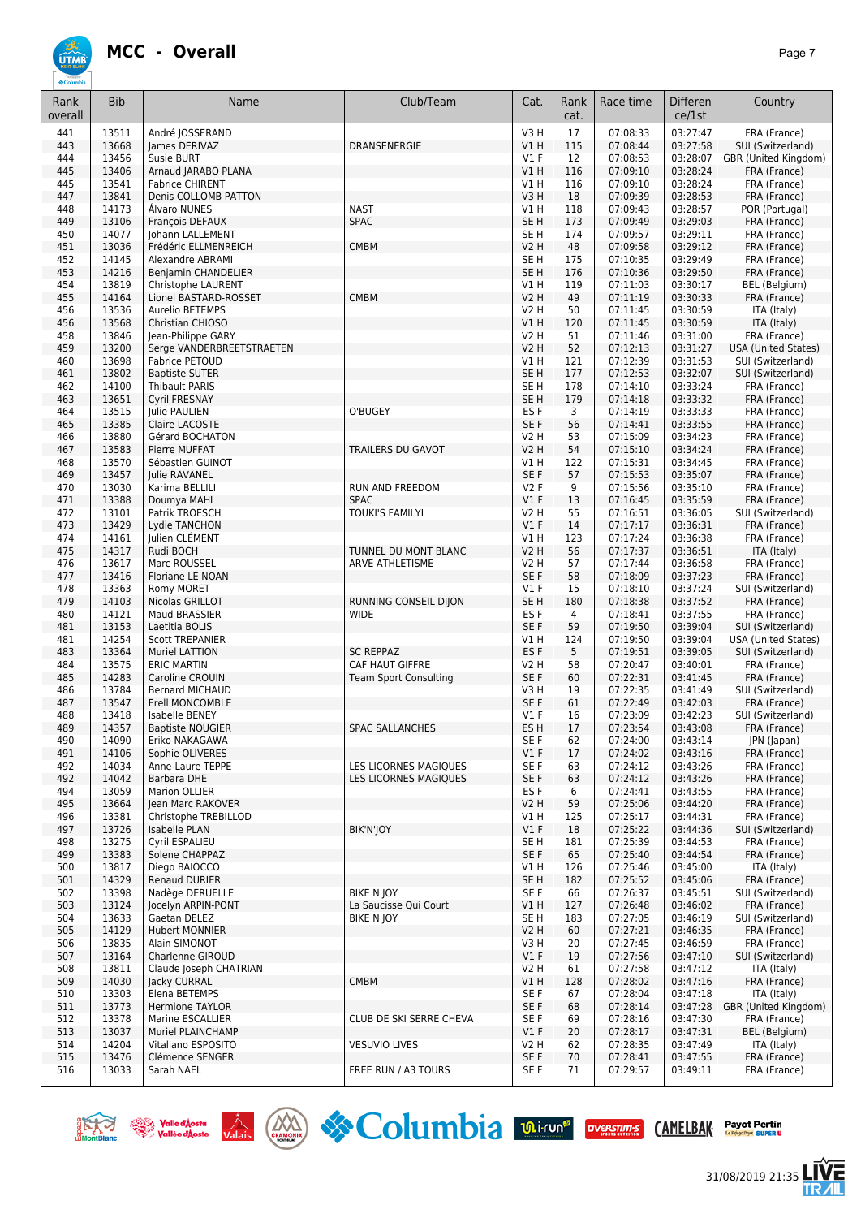

| Rank       | <b>Bib</b>     | Name                                            | Club/Team                                  | Cat.                           | Rank      | Race time            | Differen             | Country                                         |
|------------|----------------|-------------------------------------------------|--------------------------------------------|--------------------------------|-----------|----------------------|----------------------|-------------------------------------------------|
| overall    |                |                                                 |                                            |                                | cat.      |                      | ce/1st               |                                                 |
| 441        | 13511          | André JOSSERAND                                 |                                            | V <sub>3</sub> H               | 17        | 07:08:33             | 03:27:47             | FRA (France)                                    |
| 443        | 13668          | James DERIVAZ                                   | DRANSENERGIE                               | VIH                            | 115       | 07:08:44             | 03:27:58             | SUI (Switzerland)                               |
| 444<br>445 | 13456<br>13406 | Susie BURT<br>Arnaud JARABO PLANA               |                                            | $VI$ F<br>VIH                  | 12<br>116 | 07:08:53<br>07:09:10 | 03:28:07<br>03:28:24 | GBR (United Kingdom)<br>FRA (France)            |
| 445        | 13541          | <b>Fabrice CHIRENT</b>                          |                                            | V1H                            | 116       | 07:09:10             | 03:28:24             | FRA (France)                                    |
| 447        | 13841          | Denis COLLOMB PATTON                            |                                            | V3H                            | 18        | 07:09:39             | 03:28:53             | FRA (France)                                    |
| 448        | 14173          | Alvaro NUNES                                    | <b>NAST</b>                                | V1H                            | 118       | 07:09:43             | 03:28:57             | POR (Portugal)                                  |
| 449        | 13106          | François DEFAUX                                 | <b>SPAC</b>                                | SE <sub>H</sub>                | 173       | 07:09:49             | 03:29:03             | FRA (France)                                    |
| 450        | 14077          | Johann LALLEMENT                                |                                            | SE <sub>H</sub>                | 174       | 07:09:57             | 03:29:11             | FRA (France)                                    |
| 451<br>452 | 13036<br>14145 | Frédéric ELLMENREICH<br>Alexandre ABRAMI        | <b>CMBM</b>                                | <b>V2 H</b><br>SE <sub>H</sub> | 48<br>175 | 07:09:58<br>07:10:35 | 03:29:12<br>03:29:49 | FRA (France)<br>FRA (France)                    |
| 453        | 14216          | Benjamin CHANDELIER                             |                                            | SE <sub>H</sub>                | 176       | 07:10:36             | 03:29:50             | FRA (France)                                    |
| 454        | 13819          | Christophe LAURENT                              |                                            | V1H                            | 119       | 07:11:03             | 03:30:17             | BEL (Belgium)                                   |
| 455        | 14164          | Lionel BASTARD-ROSSET                           | <b>CMBM</b>                                | V2 H                           | 49        | 07:11:19             | 03:30:33             | FRA (France)                                    |
| 456        | 13536          | Aurelio BETEMPS                                 |                                            | V2 H                           | 50        | 07:11:45             | 03:30:59             | ITA (Italy)                                     |
| 456        | 13568          | Christian CHIOSO                                |                                            | V1 H                           | 120       | 07:11:45             | 03:30:59             | ITA (Italy)                                     |
| 458<br>459 | 13846<br>13200 | Jean-Philippe GARY<br>Serge VANDERBREETSTRAETEN |                                            | V2 H<br>V2 H                   | 51<br>52  | 07:11:46<br>07:12:13 | 03:31:00<br>03:31:27 | FRA (France)<br>USA (United States)             |
| 460        | 13698          | Fabrice PETOUD                                  |                                            | V1H                            | 121       | 07:12:39             | 03:31:53             | SUI (Switzerland)                               |
| 461        | 13802          | <b>Baptiste SUTER</b>                           |                                            | SE <sub>H</sub>                | 177       | 07:12:53             | 03:32:07             | SUI (Switzerland)                               |
| 462        | 14100          | <b>Thibault PARIS</b>                           |                                            | SE H                           | 178       | 07:14:10             | 03:33:24             | FRA (France)                                    |
| 463        | 13651          | <b>Cyril FRESNAY</b>                            |                                            | SE <sub>H</sub>                | 179       | 07:14:18             | 03:33:32             | FRA (France)                                    |
| 464        | 13515          | Julie PAULIEN                                   | O'BUGEY                                    | ES <sub>F</sub>                | 3         | 07:14:19             | 03:33:33             | FRA (France)                                    |
| 465        | 13385          | Claire LACOSTE                                  |                                            | SE F                           | 56        | 07:14:41             | 03:33:55             | FRA (France)                                    |
| 466<br>467 | 13880<br>13583 | Gérard BOCHATON<br>Pierre MUFFAT                | TRAILERS DU GAVOT                          | V2 H<br>V2 H                   | 53<br>54  | 07:15:09<br>07:15:10 | 03:34:23<br>03:34:24 | FRA (France)<br>FRA (France)                    |
| 468        | 13570          | Sébastien GUINOT                                |                                            | V1H                            | 122       | 07:15:31             | 03:34:45             | FRA (France)                                    |
| 469        | 13457          | Julie RAVANEL                                   |                                            | SE F                           | 57        | 07:15:53             | 03:35:07             | FRA (France)                                    |
| 470        | 13030          | Karima BELLILI                                  | RUN AND FREEDOM                            | V2F                            | 9         | 07:15:56             | 03:35:10             | FRA (France)                                    |
| 471        | 13388          | Doumya MAHI                                     | <b>SPAC</b>                                | $VI$ F                         | 13        | 07:16:45             | 03:35:59             | FRA (France)                                    |
| 472        | 13101          | Patrik TROESCH                                  | TOUKI'S FAMILYI                            | V2 H                           | 55        | 07:16:51             | 03:36:05             | SUI (Switzerland)                               |
| 473<br>474 | 13429<br>14161 | Lydie TANCHON<br>Julien CLÉMENT                 |                                            | $VI$ F<br>V1H                  | 14<br>123 | 07:17:17<br>07:17:24 | 03:36:31<br>03:36:38 | FRA (France)<br>FRA (France)                    |
| 475        | 14317          | Rudi BOCH                                       | TUNNEL DU MONT BLANC                       | <b>V2 H</b>                    | 56        | 07:17:37             | 03:36:51             | ITA (Italy)                                     |
| 476        | 13617          | Marc ROUSSEL                                    | ARVE ATHLETISME                            | <b>V2 H</b>                    | 57        | 07:17:44             | 03:36:58             | FRA (France)                                    |
| 477        | 13416          | Floriane LE NOAN                                |                                            | SE F                           | 58        | 07:18:09             | 03:37:23             | FRA (France)                                    |
| 478        | 13363          | Romy MORET                                      |                                            | $VI$ F                         | 15        | 07:18:10             | 03:37:24             | SUI (Switzerland)                               |
| 479        | 14103          | Nicolas GRILLOT                                 | RUNNING CONSEIL DIJON                      | SE <sub>H</sub>                | 180       | 07:18:38             | 03:37:52             | FRA (France)                                    |
| 480        | 14121<br>13153 | Maud BRASSIER                                   | <b>WIDE</b>                                | ES F                           | 4         | 07:18:41             | 03:37:55<br>03:39:04 | FRA (France)                                    |
| 481<br>481 | 14254          | Laetitia BOLIS<br><b>Scott TREPANIER</b>        |                                            | SE F<br>V1 H                   | 59<br>124 | 07:19:50<br>07:19:50 | 03:39:04             | SUI (Switzerland)<br><b>USA (United States)</b> |
| 483        | 13364          | Muriel LATTION                                  | <b>SC REPPAZ</b>                           | ES F                           | 5         | 07:19:51             | 03:39:05             | SUI (Switzerland)                               |
| 484        | 13575          | <b>ERIC MARTIN</b>                              | CAF HAUT GIFFRE                            | V2 H                           | 58        | 07:20:47             | 03:40:01             | FRA (France)                                    |
| 485        | 14283          | Caroline CROUIN                                 | <b>Team Sport Consulting</b>               | SE F                           | 60        | 07:22:31             | 03:41:45             | FRA (France)                                    |
| 486        | 13784          | <b>Bernard MICHAUD</b>                          |                                            | V3H                            | 19        | 07:22:35             | 03:41:49             | SUI (Switzerland)                               |
| 487        | 13547<br>13418 | Erell MONCOMBLE                                 |                                            | SE <sub>F</sub>                | 61        | 07:22:49             | 03:42:03<br>03:42:23 | FRA (France)                                    |
| 488<br>489 | 14357          | Isabelle BENEY<br><b>Baptiste NOUGIER</b>       | <b>SPAC SALLANCHES</b>                     | $VI$ F<br>ES H                 | 16<br>17  | 07:23:09<br>07:23:54 | 03:43:08             | SUI (Switzerland)<br>FRA (France)               |
| 490        | 14090          | Eriko NAKAGAWA                                  |                                            | SE <sub>F</sub>                | 62        | 07:24:00             | 03:43:14             | JPN (Japan)                                     |
| 491        | 14106          | Sophie OLIVERES                                 |                                            | $VI$ F                         | 17        | 07:24:02             | 03:43:16             | FRA (France)                                    |
| 492        | 14034          | Anne-Laure TEPPE                                | LES LICORNES MAGIQUES                      | SE F                           | 63        | 07:24:12             | 03:43:26             | FRA (France)                                    |
| 492        | 14042          | Barbara DHE                                     | LES LICORNES MAGIQUES                      | SE F                           | 63        | 07:24:12             | 03:43:26             | FRA (France)                                    |
| 494        | 13059          | Marion OLLIER                                   |                                            | ES F                           | 6         | 07:24:41             | 03:43:55             | FRA (France)                                    |
| 495<br>496 | 13664<br>13381 | Jean Marc RAKOVER<br>Christophe TREBILLOD       |                                            | V2H<br>V1H                     | 59<br>125 | 07:25:06<br>07:25:17 | 03:44:20<br>03:44:31 | FRA (France)<br>FRA (France)                    |
| 497        | 13726          | <b>Isabelle PLAN</b>                            | BIK'N'JOY                                  | $VI$ F                         | 18        | 07:25:22             | 03:44:36             | SUI (Switzerland)                               |
| 498        | 13275          | Cyril ESPALIEU                                  |                                            | SE <sub>H</sub>                | 181       | 07:25:39             | 03:44:53             | FRA (France)                                    |
| 499        | 13383          | Solene CHAPPAZ                                  |                                            | SE F                           | 65        | 07:25:40             | 03:44:54             | FRA (France)                                    |
| 500        | 13817          | Diego BAIOCCO                                   |                                            | V1H                            | 126       | 07:25:46             | 03:45:00             | ITA (Italy)                                     |
| 501        | 14329          | <b>Renaud DURIER</b>                            |                                            | SE <sub>H</sub>                | 182       | 07:25:52             | 03:45:06             | FRA (France)                                    |
| 502<br>503 | 13398<br>13124 | Nadège DERUELLE<br>Jocelyn ARPIN-PONT           | <b>BIKE N IOY</b><br>La Saucisse Qui Court | SE F<br>V1 H                   | 66<br>127 | 07:26:37<br>07:26:48 | 03:45:51<br>03:46:02 | SUI (Switzerland)<br>FRA (France)               |
| 504        | 13633          | Gaetan DELEZ                                    | <b>BIKE N JOY</b>                          | SE H                           | 183       | 07:27:05             | 03:46:19             | SUI (Switzerland)                               |
| 505        | 14129          | <b>Hubert MONNIER</b>                           |                                            | V2H                            | 60        | 07:27:21             | 03:46:35             | FRA (France)                                    |
| 506        | 13835          | Alain SIMONOT                                   |                                            | V3H                            | 20        | 07:27:45             | 03:46:59             | FRA (France)                                    |
| 507        | 13164          | Charlenne GIROUD                                |                                            | $VI$ F                         | 19        | 07:27:56             | 03:47:10             | SUI (Switzerland)                               |
| 508        | 13811          | Claude Joseph CHATRIAN                          |                                            | V2 H                           | 61        | 07:27:58             | 03:47:12             | ITA (Italy)                                     |
| 509<br>510 | 14030<br>13303 | Jacky CURRAL<br>Elena BETEMPS                   | <b>CMBM</b>                                | V1 H<br>SE F                   | 128<br>67 | 07:28:02<br>07:28:04 | 03:47:16<br>03:47:18 | FRA (France)<br>ITA (Italy)                     |
| 511        | 13773          | <b>Hermione TAYLOR</b>                          |                                            | SE F                           | 68        | 07:28:14             | 03:47:28             | GBR (United Kingdom)                            |
| 512        | 13378          | Marine ESCALLIER                                | CLUB DE SKI SERRE CHEVA                    | SE F                           | 69        | 07:28:16             | 03:47:30             | FRA (France)                                    |
| 513        | 13037          | Muriel PLAINCHAMP                               |                                            | $VI$ F                         | 20        | 07:28:17             | 03:47:31             | BEL (Belgium)                                   |
| 514        | 14204          | Vitaliano ESPOSITO                              | <b>VESUVIO LIVES</b>                       | V2 H                           | 62        | 07:28:35             | 03:47:49             | ITA (Italy)                                     |
| 515        | 13476          | Clémence SENGER                                 |                                            | SE F                           | 70        | 07:28:41             | 03:47:55             | FRA (France)                                    |
| 516        | 13033          | Sarah NAEL                                      | FREE RUN / A3 TOURS                        | SE F                           | 71        | 07:29:57             | 03:49:11             | FRA (France)                                    |







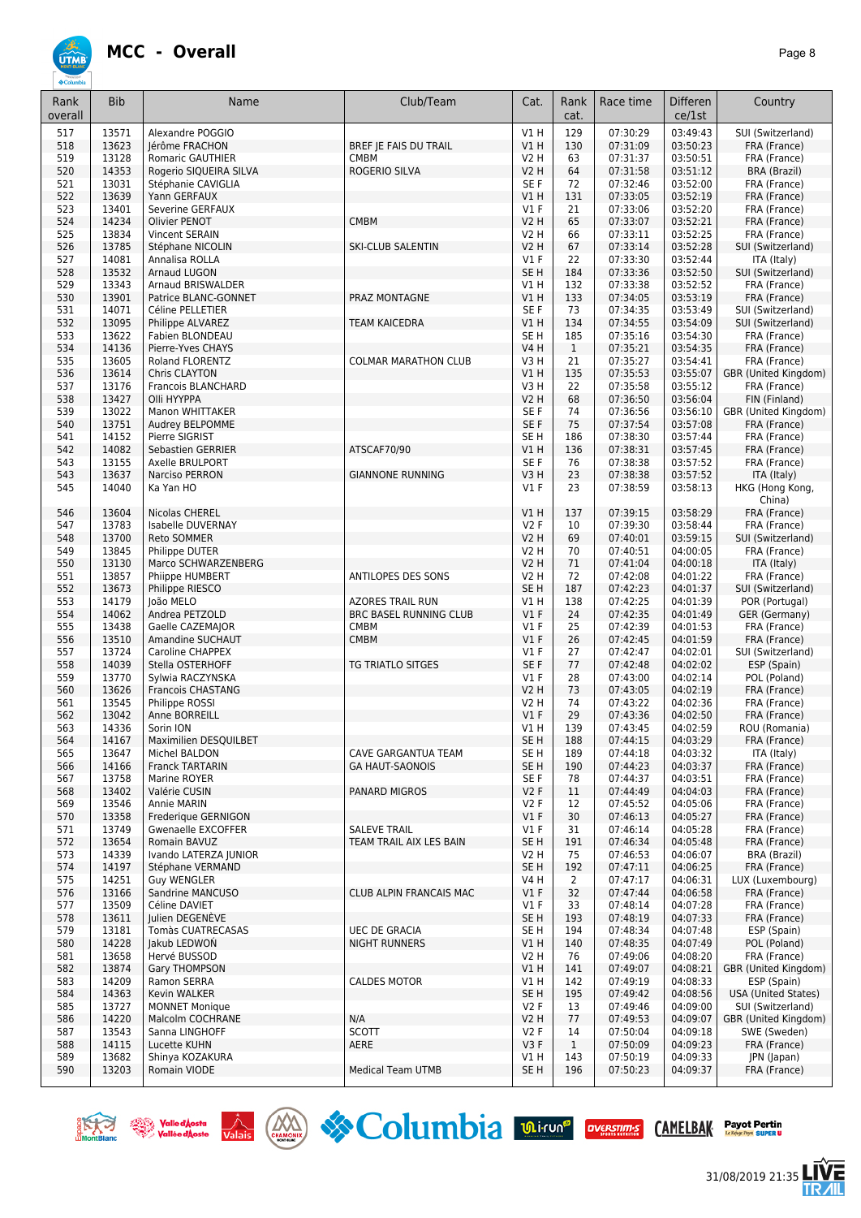

| Rank<br>overall | <b>Bib</b>     | Name                                               | Club/Team                                      | Cat.                       | Rank<br>cat.   | Race time            | <b>Differen</b><br>ce/1st | Country                              |
|-----------------|----------------|----------------------------------------------------|------------------------------------------------|----------------------------|----------------|----------------------|---------------------------|--------------------------------------|
| 517             | 13571          | Alexandre POGGIO                                   |                                                | <b>V1 H</b>                | 129            | 07:30:29             | 03:49:43                  | SUI (Switzerland)                    |
| 518             | 13623          | Jérôme FRACHON                                     | BREF JE FAIS DU TRAIL                          | V1H                        | 130            | 07:31:09             | 03:50:23                  | FRA (France)                         |
| 519             | 13128          | Romaric GAUTHIER                                   | <b>CMBM</b>                                    | <b>V2 H</b>                | 63             | 07:31:37             | 03:50:51                  | FRA (France)                         |
| 520<br>521      | 14353<br>13031 | Rogerio SIQUEIRA SILVA                             | ROGERIO SILVA                                  | <b>V2 H</b><br>SE F        | 64<br>72       | 07:31:58<br>07:32:46 | 03:51:12<br>03:52:00      | <b>BRA (Brazil)</b>                  |
| 522             | 13639          | Stéphanie CAVIGLIA<br>Yann GERFAUX                 |                                                | V1 H                       | 131            | 07:33:05             | 03:52:19                  | FRA (France)<br>FRA (France)         |
| 523             | 13401          | Severine GERFAUX                                   |                                                | $VI$ F                     | 21             | 07:33:06             | 03:52:20                  | FRA (France)                         |
| 524             | 14234          | Olivier PENOT                                      | <b>CMBM</b>                                    | <b>V2 H</b>                | 65             | 07:33:07             | 03:52:21                  | FRA (France)                         |
| 525             | 13834          | Vincent SERAIN                                     |                                                | <b>V2 H</b>                | 66             | 07:33:11             | 03:52:25                  | FRA (France)                         |
| 526             | 13785          | Stéphane NICOLIN                                   | <b>SKI-CLUB SALENTIN</b>                       | <b>V2 H</b>                | 67             | 07:33:14             | 03:52:28                  | SUI (Switzerland)                    |
| 527<br>528      | 14081<br>13532 | Annalisa ROLLA<br>Arnaud LUGON                     |                                                | $VI$ F<br>SE <sub>H</sub>  | 22<br>184      | 07:33:30<br>07:33:36 | 03:52:44<br>03:52:50      | ITA (Italy)<br>SUI (Switzerland)     |
| 529             | 13343          | Arnaud BRISWALDER                                  |                                                | V1H                        | 132            | 07:33:38             | 03:52:52                  | FRA (France)                         |
| 530             | 13901          | Patrice BLANC-GONNET                               | PRAZ MONTAGNE                                  | V1 H                       | 133            | 07:34:05             | 03:53:19                  | FRA (France)                         |
| 531             | 14071          | Céline PELLETIER                                   |                                                | SE F                       | 73             | 07:34:35             | 03:53:49                  | SUI (Switzerland)                    |
| 532             | 13095          | Philippe ALVAREZ                                   | <b>TEAM KAICEDRA</b>                           | V1H                        | 134            | 07:34:55             | 03:54:09                  | SUI (Switzerland)                    |
| 533             | 13622          | Fabien BLONDEAU                                    |                                                | SE H                       | 185            | 07:35:16             | 03:54:30                  | FRA (France)                         |
| 534             | 14136          | Pierre-Yves CHAYS                                  |                                                | <b>V4 H</b>                | $\mathbf{1}$   | 07:35:21             | 03:54:35                  | FRA (France)                         |
| 535<br>536      | 13605<br>13614 | Roland FLORENTZ<br>Chris CLAYTON                   | <b>COLMAR MARATHON CLUB</b>                    | V3H<br><b>V1 H</b>         | 21<br>135      | 07:35:27<br>07:35:53 | 03:54:41<br>03:55:07      | FRA (France)<br>GBR (United Kingdom) |
| 537             | 13176          | Francois BLANCHARD                                 |                                                | V3H                        | 22             | 07:35:58             | 03:55:12                  | FRA (France)                         |
| 538             | 13427          | Olli HYYPPA                                        |                                                | V2 H                       | 68             | 07:36:50             | 03:56:04                  | FIN (Finland)                        |
| 539             | 13022          | Manon WHITTAKER                                    |                                                | SE F                       | 74             | 07:36:56             | 03:56:10                  | GBR (United Kingdom)                 |
| 540             | 13751          | Audrey BELPOMME                                    |                                                | SE F                       | 75             | 07:37:54             | 03:57:08                  | FRA (France)                         |
| 541             | 14152          | Pierre SIGRIST                                     |                                                | SE H                       | 186            | 07:38:30             | 03:57:44                  | FRA (France)                         |
| 542<br>543      | 14082<br>13155 | <b>Sebastien GERRIER</b><br><b>Axelle BRULPORT</b> | ATSCAF70/90                                    | <b>V1 H</b><br>SE F        | 136<br>76      | 07:38:31<br>07:38:38 | 03:57:45<br>03:57:52      | FRA (France)<br>FRA (France)         |
| 543             | 13637          | Narciso PERRON                                     | <b>GIANNONE RUNNING</b>                        | V3H                        | 23             | 07:38:38             | 03:57:52                  | ITA (Italy)                          |
| 545             | 14040          | Ka Yan HO                                          |                                                | $VI$ F                     | 23             | 07:38:59             | 03:58:13                  | HKG (Hong Kong,<br>China)            |
| 546             | 13604          | Nicolas CHEREL                                     |                                                | V1H                        | 137            | 07:39:15             | 03:58:29                  | FRA (France)                         |
| 547             | 13783          | Isabelle DUVERNAY                                  |                                                | V2F                        | 10             | 07:39:30             | 03:58:44                  | FRA (France)                         |
| 548<br>549      | 13700<br>13845 | Reto SOMMER<br>Philippe DUTER                      |                                                | <b>V2 H</b><br><b>V2 H</b> | 69<br>70       | 07:40:01<br>07:40:51 | 03:59:15<br>04:00:05      | SUI (Switzerland)<br>FRA (France)    |
| 550             | 13130          | Marco SCHWARZENBERG                                |                                                | V2 H                       | 71             | 07:41:04             | 04:00:18                  | ITA (Italy)                          |
| 551             | 13857          | Phiippe HUMBERT                                    | ANTILOPES DES SONS                             | <b>V2 H</b>                | 72             | 07:42:08             | 04:01:22                  | FRA (France)                         |
| 552             | 13673          | Philippe RIESCO                                    |                                                | SE H                       | 187            | 07:42:23             | 04:01:37                  | SUI (Switzerland)                    |
| 553             | 14179          | João MELO                                          | <b>AZORES TRAIL RUN</b>                        | <b>V1 H</b>                | 138            | 07:42:25             | 04:01:39                  | POR (Portugal)                       |
| 554             | 14062          | Andrea PETZOLD                                     | <b>BRC BASEL RUNNING CLUB</b>                  | $VI$ F                     | 24             | 07:42:35             | 04:01:49                  | GER (Germany)                        |
| 555<br>556      | 13438<br>13510 | Gaelle CAZEMAJOR<br>Amandine SUCHAUT               | <b>CMBM</b><br><b>CMBM</b>                     | $VI$ F<br>$VI$ F           | 25<br>26       | 07:42:39<br>07:42:45 | 04:01:53<br>04:01:59      | FRA (France)<br>FRA (France)         |
| 557             | 13724          | Caroline CHAPPEX                                   |                                                | $VI$ F                     | 27             | 07:42:47             | 04:02:01                  | SUI (Switzerland)                    |
| 558             | 14039          | Stella OSTERHOFF                                   | TG TRIATLO SITGES                              | SE F                       | $77$           | 07:42:48             | 04:02:02                  | ESP (Spain)                          |
| 559             | 13770          | Sylwia RACZYNSKA                                   |                                                | $VI$ F                     | 28             | 07:43:00             | 04:02:14                  | POL (Poland)                         |
| 560             | 13626          | <b>Francois CHASTANG</b>                           |                                                | <b>V2 H</b>                | 73             | 07:43:05             | 04:02:19                  | FRA (France)                         |
| 561             | 13545          | Philippe ROSSI                                     |                                                | V2 H                       | 74             | 07:43:22             | 04:02:36                  | FRA (France)                         |
| 562             | 13042          | Anne BORREILL                                      |                                                | $VI$ F                     | 29             | 07:43:36             | 04:02:50                  | FRA (France)                         |
| 563<br>564      | 14336<br>14167 | Sorin ION<br>Maximilien DESQUILBET                 |                                                | V1 H<br>SE H               | 139<br>188     | 07:43:45<br>07:44:15 | 04:02:59<br>04:03:29      | ROU (Romania)<br>FRA (France)        |
| 565             | 13647          | Michel BALDON                                      | <b>CAVE GARGANTUA TEAM</b>                     | SE H                       | 189            | 07:44:18             | 04:03:32                  | ITA (Italy)                          |
| 566             | 14166          | <b>Franck TARTARIN</b>                             | <b>GA HAUT-SAONOIS</b>                         | SE <sub>H</sub>            | 190            | 07:44:23             | 04:03:37                  | FRA (France)                         |
| 567             | 13758          | Marine ROYER                                       |                                                | SE F                       | 78             | 07:44:37             | 04:03:51                  | FRA (France)                         |
| 568             | 13402          | Valérie CUSIN                                      | <b>PANARD MIGROS</b>                           | V2F                        | 11             | 07:44:49             | 04:04:03                  | FRA (France)                         |
| 569             | 13546          | Annie MARIN                                        |                                                | V2F                        | 12             | 07:45:52             | 04:05:06                  | FRA (France)                         |
| 570             | 13358          | Frederique GERNIGON                                |                                                | $VI$ F                     | 30             | 07:46:13             | 04:05:27                  | FRA (France)                         |
| 571<br>572      | 13749<br>13654 | Gwenaelle EXCOFFER<br>Romain BAVUZ                 | <b>SALEVE TRAIL</b><br>TEAM TRAIL AIX LES BAIN | $VI$ F<br>SE <sub>H</sub>  | 31<br>191      | 07:46:14<br>07:46:34 | 04:05:28<br>04:05:48      | FRA (France)<br>FRA (France)         |
| 573             | 14339          | Ivando LATERZA JUNIOR                              |                                                | V2 H                       | 75             | 07:46:53             | 04:06:07                  | <b>BRA (Brazil)</b>                  |
| 574             | 14197          | Stéphane VERMAND                                   |                                                | SE <sub>H</sub>            | 192            | 07:47:11             | 04:06:25                  | FRA (France)                         |
| 575             | 14251          | <b>Guy WENGLER</b>                                 |                                                | <b>V4 H</b>                | $\overline{2}$ | 07:47:17             | 04:06:31                  | LUX (Luxembourg)                     |
| 576             | 13166          | Sandrine MANCUSO                                   | CLUB ALPIN FRANCAIS MAC                        | $VI$ F                     | 32             | 07:47:44             | 04:06:58                  | FRA (France)                         |
| 577             | 13509          | Céline DAVIET                                      |                                                | $VI$ F                     | 33             | 07:48:14             | 04:07:28                  | FRA (France)                         |
| 578             | 13611          | Julien DEGENEVE                                    |                                                | SE H                       | 193            | 07:48:19             | 04:07:33                  | FRA (France)                         |
| 579             | 13181          | Tomàs CUATRECASAS                                  | <b>UEC DE GRACIA</b>                           | SE H                       | 194            | 07:48:34             | 04:07:48                  | ESP (Spain)                          |
| 580<br>581      | 14228<br>13658 | Jakub LEDWON<br>Hervé BUSSOD                       | <b>NIGHT RUNNERS</b>                           | V1H<br>V2 H                | 140<br>76      | 07:48:35<br>07:49:06 | 04:07:49<br>04:08:20      | POL (Poland)<br>FRA (France)         |
| 582             | 13874          | Gary THOMPSON                                      |                                                | V1 H                       | 141            | 07:49:07             | 04:08:21                  | GBR (United Kingdom)                 |
| 583             | 14209          | Ramon SERRA                                        | <b>CALDES MOTOR</b>                            | V1 H                       | 142            | 07:49:19             | 04:08:33                  | ESP (Spain)                          |
| 584             | 14363          | Kevin WALKER                                       |                                                | SE <sub>H</sub>            | 195            | 07:49:42             | 04:08:56                  | <b>USA (United States)</b>           |
| 585             | 13727          | <b>MONNET Monique</b>                              |                                                | V2F                        | 13             | 07:49:46             | 04:09:00                  | SUI (Switzerland)                    |
| 586             | 14220          | Malcolm COCHRANE                                   | N/A                                            | <b>V2 H</b>                | 77             | 07:49:53             | 04:09:07                  | GBR (United Kingdom)                 |
| 587             | 13543          | Sanna LINGHOFF                                     | <b>SCOTT</b>                                   | V2F                        | 14             | 07:50:04             | 04:09:18                  | SWE (Sweden)                         |
| 588             | 14115<br>13682 | Lucette KUHN                                       | AERE                                           | V3F                        | $\mathbf{1}$   | 07:50:09             | 04:09:23                  | FRA (France)                         |
| 589<br>590      | 13203          | Shinya KOZAKURA<br>Romain VIODE                    | <b>Medical Team UTMB</b>                       | V1 H<br>SE H               | 143<br>196     | 07:50:19<br>07:50:23 | 04:09:33<br>04:09:37      | JPN (Japan)<br>FRA (France)          |
|                 |                |                                                    |                                                |                            |                |                      |                           |                                      |







31/08/2019 21:35

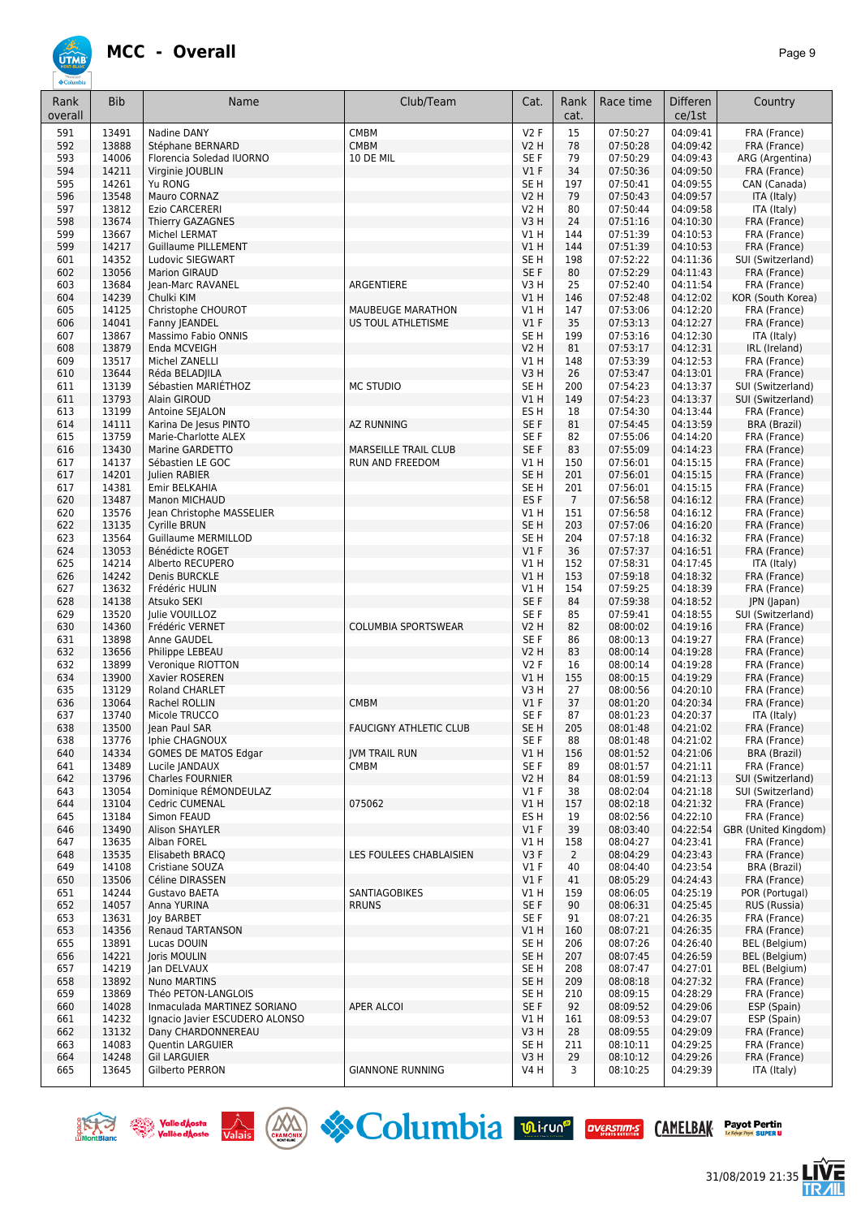

| Rank       | <b>Bib</b>     | Name                                                 | Club/Team                               | Cat.                | Rank            | Race time            | <b>Differen</b>      | Country                             |
|------------|----------------|------------------------------------------------------|-----------------------------------------|---------------------|-----------------|----------------------|----------------------|-------------------------------------|
| overall    |                |                                                      |                                         |                     | cat.            |                      | ce/1st               |                                     |
| 591        | 13491          | Nadine DANY                                          | <b>CMBM</b>                             | V2F                 | 15              | 07:50:27             | 04:09:41             | FRA (France)                        |
| 592        | 13888          | Stéphane BERNARD                                     | <b>CMBM</b>                             | <b>V2 H</b>         | 78              | 07:50:28             | 04:09:42             | FRA (France)                        |
| 593        | 14006          | Florencia Soledad IUORNO                             | 10 DE MIL                               | SE F                | 79              | 07:50:29             | 04:09:43             | ARG (Argentina)                     |
| 594        | 14211          | Virginie JOUBLIN                                     |                                         | $VI$ F              | 34              | 07:50:36             | 04:09:50             | FRA (France)                        |
| 595<br>596 | 14261<br>13548 | Yu RONG<br>Mauro CORNAZ                              |                                         | SE H<br><b>V2 H</b> | 197<br>79       | 07:50:41<br>07:50:43 | 04:09:55<br>04:09:57 | CAN (Canada)<br>ITA (Italy)         |
| 597        | 13812          | Ezio CARCERERI                                       |                                         | V2 H                | 80              | 07:50:44             | 04:09:58             | ITA (Italy)                         |
| 598        | 13674          | Thierry GAZAGNES                                     |                                         | V3H                 | 24              | 07:51:16             | 04:10:30             | FRA (France)                        |
| 599        | 13667          | Michel LERMAT                                        |                                         | V1 H                | 144             | 07:51:39             | 04:10:53             | FRA (France)                        |
| 599        | 14217          | <b>Guillaume PILLEMENT</b>                           |                                         | V1H                 | 144             | 07:51:39             | 04:10:53             | FRA (France)                        |
| 601        | 14352          | Ludovic SIEGWART                                     |                                         | SE H                | 198             | 07:52:22             | 04:11:36             | SUI (Switzerland)                   |
| 602        | 13056          | <b>Marion GIRAUD</b>                                 |                                         | SE F                | 80              | 07:52:29             | 04:11:43             | FRA (France)                        |
| 603        | 13684          | <b>Iean-Marc RAVANEL</b>                             | ARGENTIERE                              | V3H                 | 25              | 07:52:40             | 04:11:54             | FRA (France)                        |
| 604        | 14239          | Chulki KIM                                           |                                         | VIH                 | 146             | 07:52:48             | 04:12:02             | KOR (South Korea)                   |
| 605<br>606 | 14125<br>14041 | Christophe CHOUROT<br>Fanny JEANDEL                  | MAUBEUGE MARATHON<br>US TOUL ATHLETISME | V1 H<br>$VI$ F      | 147<br>35       | 07:53:06<br>07:53:13 | 04:12:20<br>04:12:27 | FRA (France)<br>FRA (France)        |
| 607        | 13867          | Massimo Fabio ONNIS                                  |                                         | SE <sub>H</sub>     | 199             | 07:53:16             | 04:12:30             | ITA (Italy)                         |
| 608        | 13879          | Enda MCVEIGH                                         |                                         | <b>V2 H</b>         | 81              | 07:53:17             | 04:12:31             | IRL (Ireland)                       |
| 609        | 13517          | Michel ZANELLI                                       |                                         | V1 H                | 148             | 07:53:39             | 04:12:53             | FRA (France)                        |
| 610        | 13644          | Réda BELAD ILA                                       |                                         | V3H                 | 26              | 07:53:47             | 04:13:01             | FRA (France)                        |
| 611        | 13139          | Sébastien MARIETHOZ                                  | <b>MC STUDIO</b>                        | SE H                | 200             | 07:54:23             | 04:13:37             | SUI (Switzerland)                   |
| 611        | 13793          | Alain GIROUD                                         |                                         | VIH                 | 149             | 07:54:23             | 04:13:37             | SUI (Switzerland)                   |
| 613        | 13199          | Antoine SEJALON                                      |                                         | ES H                | 18              | 07:54:30             | 04:13:44             | FRA (France)                        |
| 614<br>615 | 14111<br>13759 | Karina De Jesus PINTO<br>Marie-Charlotte ALEX        | <b>AZ RUNNING</b>                       | SE F<br>SE F        | 81<br>82        | 07:54:45<br>07:55:06 | 04:13:59<br>04:14:20 | <b>BRA (Brazil)</b><br>FRA (France) |
| 616        | 13430          | Marine GARDETTO                                      | <b>MARSEILLE TRAIL CLUB</b>             | SE F                | 83              | 07:55:09             | 04:14:23             | FRA (France)                        |
| 617        | 14137          | Sébastien LE GOC                                     | RUN AND FREEDOM                         | V1H                 | 150             | 07:56:01             | 04:15:15             | FRA (France)                        |
| 617        | 14201          | Julien RABIER                                        |                                         | SE <sub>H</sub>     | 201             | 07:56:01             | 04:15:15             | FRA (France)                        |
| 617        | 14381          | Emir BELKAHIA                                        |                                         | SE <sub>H</sub>     | 201             | 07:56:01             | 04:15:15             | FRA (France)                        |
| 620        | 13487          | Manon MICHAUD                                        |                                         | ES F                | $7\overline{ }$ | 07:56:58             | 04:16:12             | FRA (France)                        |
| 620        | 13576          | Jean Christophe MASSELIER                            |                                         | V1 H                | 151             | 07:56:58             | 04:16:12             | FRA (France)                        |
| 622        | 13135          | Cyrille BRUN                                         |                                         | SE <sub>H</sub>     | 203             | 07:57:06             | 04:16:20             | FRA (France)                        |
| 623        | 13564          | <b>Guillaume MERMILLOD</b>                           |                                         | SE H                | 204             | 07:57:18             | 04:16:32             | FRA (France)                        |
| 624        | 13053<br>14214 | Bénédicte ROGET<br>Alberto RECUPERO                  |                                         | $VI$ F<br>V1 H      | 36<br>152       | 07:57:37<br>07:58:31 | 04:16:51<br>04:17:45 | FRA (France)                        |
| 625<br>626 | 14242          | Denis BURCKLE                                        |                                         | VIH                 | 153             | 07:59:18             | 04:18:32             | ITA (Italy)<br>FRA (France)         |
| 627        | 13632          | Frédéric HULIN                                       |                                         | V1 H                | 154             | 07:59:25             | 04:18:39             | FRA (France)                        |
| 628        | 14138          | Atsuko SEKI                                          |                                         | SE F                | 84              | 07:59:38             | 04:18:52             | JPN (Japan)                         |
| 629        | 13520          | Julie VOUILLOZ                                       |                                         | SE F                | 85              | 07:59:41             | 04:18:55             | SUI (Switzerland)                   |
| 630        | 14360          | Frédéric VERNET                                      | <b>COLUMBIA SPORTSWEAR</b>              | V2 H                | 82              | 08:00:02             | 04:19:16             | FRA (France)                        |
| 631        | 13898          | Anne GAUDEL                                          |                                         | SE F                | 86              | 08:00:13             | 04:19:27             | FRA (France)                        |
| 632        | 13656          | Philippe LEBEAU                                      |                                         | <b>V2 H</b>         | 83              | 08:00:14             | 04:19:28             | FRA (France)                        |
| 632        | 13899          | Veronique RIOTTON                                    |                                         | V2F<br>V1H          | 16              | 08:00:14             | 04:19:28             | FRA (France)                        |
| 634<br>635 | 13900<br>13129 | Xavier ROSEREN<br>Roland CHARLET                     |                                         | V3H                 | 155<br>27       | 08:00:15<br>08:00:56 | 04:19:29<br>04:20:10 | FRA (France)<br>FRA (France)        |
| 636        | 13064          | Rachel ROLLIN                                        | <b>CMBM</b>                             | $VI$ F              | 37              | 08:01:20             | 04:20:34             | FRA (France)                        |
| 637        | 13740          | Micole TRUCCO                                        |                                         | SE F                | 87              | 08:01:23             | 04:20:37             | ITA (Italy)                         |
| 638        | 13500          | Jean Paul SAR                                        | <b>FAUCIGNY ATHLETIC CLUB</b>           | SE <sub>H</sub>     | 205             | 08:01:48             | 04:21:02             | FRA (France)                        |
| 638        | 13776          | Iphie CHAGNOUX                                       |                                         | SE F                | 88              | 08:01:48             | 04:21:02             | FRA (France)                        |
| 640        | 14334          | <b>GOMES DE MATOS Edgar</b>                          | <b>IVM TRAIL RUN</b>                    | V1H                 | 156             | 08:01:52             | 04:21:06             | BRA (Brazil)                        |
| 641        | 13489          | Lucile JANDAUX                                       | CMBM                                    | SE F                | 89              | 08:01:57             | 04:21:11             | FRA (France)                        |
| 642        | 13796          | Charles FOURNIER                                     |                                         | V <sub>2</sub> H    | 84              | 08:01:59             | 04:21:13             | SUI (Switzerland)                   |
| 643<br>644 | 13054<br>13104 | Dominique RÉMONDEULAZ<br>Cedric CUMENAL              | 075062                                  | $VI$ F<br>V1H       | 38<br>157       | 08:02:04<br>08:02:18 | 04:21:18<br>04:21:32 | SUI (Switzerland)<br>FRA (France)   |
| 645        | 13184          | Simon FEAUD                                          |                                         | ES H                | 19              | 08:02:56             | 04:22:10             | FRA (France)                        |
| 646        | 13490          | Alison SHAYLER                                       |                                         | $VI$ F              | 39              | 08:03:40             | 04:22:54             | GBR (United Kingdom)                |
| 647        | 13635          | Alban FOREL                                          |                                         | V1 H                | 158             | 08:04:27             | 04:23:41             | FRA (France)                        |
| 648        | 13535          | Elisabeth BRACQ                                      | LES FOULEES CHABLAISIEN                 | V3F                 | $\overline{2}$  | 08:04:29             | 04:23:43             | FRA (France)                        |
| 649        | 14108          | Cristiane SOUZA                                      |                                         | $VI$ F              | 40              | 08:04:40             | 04:23:54             | <b>BRA (Brazil)</b>                 |
| 650        | 13506          | Céline DIRASSEN                                      |                                         | $VI$ F              | 41              | 08:05:29             | 04:24:43             | FRA (France)                        |
| 651        | 14244          | Gustavo BAETA                                        | <b>SANTIAGOBIKES</b>                    | V1 H                | 159             | 08:06:05             | 04:25:19             | POR (Portugal)                      |
| 652<br>653 | 14057<br>13631 | Anna YURINA<br><b>Joy BARBET</b>                     | <b>RRUNS</b>                            | SE F<br>SE F        | 90<br>91        | 08:06:31<br>08:07:21 | 04:25:45<br>04:26:35 | RUS (Russia)<br>FRA (France)        |
| 653        | 14356          | Renaud TARTANSON                                     |                                         | V1 H                | 160             | 08:07:21             | 04:26:35             | FRA (France)                        |
| 655        | 13891          | Lucas DOUIN                                          |                                         | SE H                | 206             | 08:07:26             | 04:26:40             | BEL (Belgium)                       |
| 656        | 14221          | Joris MOULIN                                         |                                         | SE <sub>H</sub>     | 207             | 08:07:45             | 04:26:59             | BEL (Belgium)                       |
| 657        | 14219          | Jan DELVAUX                                          |                                         | SE H                | 208             | 08:07:47             | 04:27:01             | BEL (Belgium)                       |
| 658        | 13892          | <b>Nuno MARTINS</b>                                  |                                         | SE <sub>H</sub>     | 209             | 08:08:18             | 04:27:32             | FRA (France)                        |
| 659        | 13869          | Théo PETON-LANGLOIS                                  |                                         | SE H                | 210             | 08:09:15             | 04:28:29             | FRA (France)                        |
| 660        | 14028          | Inmaculada MARTINEZ SORIANO                          | <b>APER ALCOI</b>                       | SE F                | 92              | 08:09:52             | 04:29:06             | ESP (Spain)                         |
| 661<br>662 | 14232<br>13132 | Ignacio Javier ESCUDERO ALONSO<br>Dany CHARDONNEREAU |                                         | V1 H<br>V3H         | 161<br>28       | 08:09:53<br>08:09:55 | 04:29:07<br>04:29:09 | ESP (Spain)<br>FRA (France)         |
| 663        | 14083          | <b>Quentin LARGUIER</b>                              |                                         | SE H                | 211             | 08:10:11             | 04:29:25             | FRA (France)                        |
| 664        | 14248          | <b>Gil LARGUIER</b>                                  |                                         | V3H                 | 29              | 08:10:12             | 04:29:26             | FRA (France)                        |
| 665        | 13645          | Gilberto PERRON                                      | <b>GIANNONE RUNNING</b>                 | V4 H                | 3               | 08:10:25             | 04:29:39             | ITA (Italy)                         |
|            |                |                                                      |                                         |                     |                 |                      |                      |                                     |







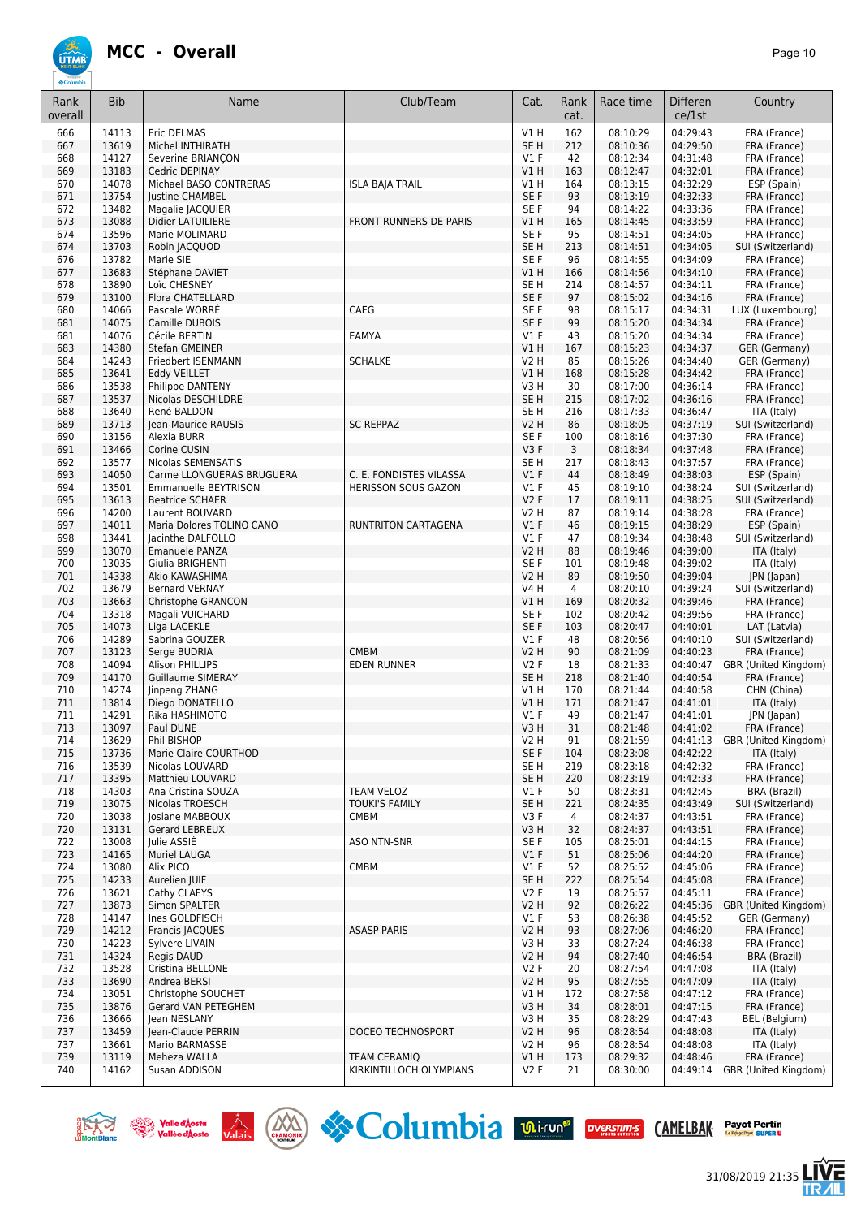

| Rank<br>overall | <b>Bib</b>     | Name                                           | Club/Team                            | Cat.                    | Rank<br>cat. | Race time            | <b>Differen</b><br>ce/1st | Country                           |
|-----------------|----------------|------------------------------------------------|--------------------------------------|-------------------------|--------------|----------------------|---------------------------|-----------------------------------|
| 666             | 14113          | Eric DELMAS                                    |                                      | V1H                     | 162          | 08:10:29             | 04:29:43                  | FRA (France)                      |
| 667             | 13619          | Michel INTHIRATH                               |                                      | SE <sub>H</sub>         | 212          | 08:10:36             | 04:29:50                  | FRA (France)                      |
| 668             | 14127          | Severine BRIANCON                              |                                      | $VI$ F                  | 42           | 08:12:34             | 04:31:48                  | FRA (France)                      |
| 669             | 13183          | Cedric DEPINAY                                 |                                      | VIH                     | 163          | 08:12:47             | 04:32:01                  | FRA (France)                      |
| 670             | 14078          | Michael BASO CONTRERAS                         | <b>ISLA BAJA TRAIL</b>               | V1 H                    | 164          | 08:13:15             | 04:32:29                  | ESP (Spain)                       |
| 671<br>672      | 13754<br>13482 | Justine CHAMBEL<br>Magalie JACQUIER            |                                      | SE F<br>SE F            | 93<br>94     | 08:13:19<br>08:14:22 | 04:32:33<br>04:33:36      | FRA (France)<br>FRA (France)      |
| 673             | 13088          | Didier LATUILIERE                              | <b>FRONT RUNNERS DE PARIS</b>        | V1 H                    | 165          | 08:14:45             | 04:33:59                  | FRA (France)                      |
| 674             | 13596          | Marie MOLIMARD                                 |                                      | SE <sub>F</sub>         | 95           | 08:14:51             | 04:34:05                  | FRA (France)                      |
| 674             | 13703          | Robin JACQUOD                                  |                                      | SE <sub>H</sub>         | 213          | 08:14:51             | 04:34:05                  | SUI (Switzerland)                 |
| 676             | 13782          | Marie SIE                                      |                                      | SE <sub>F</sub>         | 96           | 08:14:55             | 04:34:09                  | FRA (France)                      |
| 677             | 13683          | Stéphane DAVIET                                |                                      | V1H                     | 166          | 08:14:56             | 04:34:10                  | FRA (France)                      |
| 678             | 13890          | Loïc CHESNEY                                   |                                      | SE <sub>H</sub>         | 214          | 08:14:57             | 04:34:11                  | FRA (France)                      |
| 679             | 13100          | Flora CHATELLARD                               | CAEG                                 | SE <sub>F</sub>         | 97           | 08:15:02             | 04:34:16<br>04:34:31      | FRA (France)                      |
| 680<br>681      | 14066<br>14075 | Pascale WORRÉ<br>Camille DUBOIS                |                                      | SE F<br>SE F            | 98<br>99     | 08:15:17<br>08:15:20 | 04:34:34                  | LUX (Luxembourg)<br>FRA (France)  |
| 681             | 14076          | Cécile BERTIN                                  | <b>EAMYA</b>                         | $VI$ F                  | 43           | 08:15:20             | 04:34:34                  | FRA (France)                      |
| 683             | 14380          | Stefan GMEINER                                 |                                      | VIH                     | 167          | 08:15:23             | 04:34:37                  | GER (Germany)                     |
| 684             | 14243          | Friedbert ISENMANN                             | <b>SCHALKE</b>                       | <b>V2 H</b>             | 85           | 08:15:26             | 04:34:40                  | GER (Germany)                     |
| 685             | 13641          | Eddy VEILLET                                   |                                      | VIH                     | 168          | 08:15:28             | 04:34:42                  | FRA (France)                      |
| 686             | 13538          | Philippe DANTENY                               |                                      | V3H                     | 30           | 08:17:00             | 04:36:14                  | FRA (France)                      |
| 687             | 13537          | Nicolas DESCHILDRE                             |                                      | SE <sub>H</sub>         | 215          | 08:17:02             | 04:36:16                  | FRA (France)                      |
| 688<br>689      | 13640<br>13713 | René BALDON<br>Jean-Maurice RAUSIS             | <b>SC REPPAZ</b>                     | SE H                    | 216<br>86    | 08:17:33<br>08:18:05 | 04:36:47<br>04:37:19      | ITA (Italy)<br>SUI (Switzerland)  |
| 690             | 13156          | Alexia BURR                                    |                                      | V2 H<br>SE <sub>F</sub> | 100          | 08:18:16             | 04:37:30                  | FRA (France)                      |
| 691             | 13466          | Corine CUSIN                                   |                                      | V3F                     | 3            | 08:18:34             | 04:37:48                  | FRA (France)                      |
| 692             | 13577          | Nicolas SEMENSATIS                             |                                      | SE <sub>H</sub>         | 217          | 08:18:43             | 04:37:57                  | FRA (France)                      |
| 693             | 14050          | Carme LLONGUERAS BRUGUERA                      | C. E. FONDISTES VILASSA              | $VI$ F                  | 44           | 08:18:49             | 04:38:03                  | ESP (Spain)                       |
| 694             | 13501          | Emmanuelle BEYTRISON                           | HERISSON SOUS GAZON                  | $VI$ F                  | 45           | 08:19:10             | 04:38:24                  | SUI (Switzerland)                 |
| 695             | 13613          | <b>Beatrice SCHAER</b>                         |                                      | V2F                     | 17           | 08:19:11             | 04:38:25                  | SUI (Switzerland)                 |
| 696             | 14200          | Laurent BOUVARD                                |                                      | V2 H                    | 87           | 08:19:14             | 04:38:28                  | FRA (France)                      |
| 697<br>698      | 14011<br>13441 | Maria Dolores TOLINO CANO<br>Jacinthe DALFOLLO | RUNTRITON CARTAGENA                  | $VI$ F<br>$VI$ F        | 46<br>47     | 08:19:15<br>08:19:34 | 04:38:29<br>04:38:48      | ESP (Spain)<br>SUI (Switzerland)  |
| 699             | 13070          | Emanuele PANZA                                 |                                      | V2 H                    | 88           | 08:19:46             | 04:39:00                  | ITA (Italy)                       |
| 700             | 13035          | Giulia BRIGHENTI                               |                                      | SE F                    | 101          | 08:19:48             | 04:39:02                  | ITA (Italy)                       |
| 701             | 14338          | Akio KAWASHIMA                                 |                                      | <b>V2 H</b>             | 89           | 08:19:50             | 04:39:04                  | JPN (Japan)                       |
| 702             | 13679          | <b>Bernard VERNAY</b>                          |                                      | <b>V4 H</b>             | 4            | 08:20:10             | 04:39:24                  | SUI (Switzerland)                 |
| 703             | 13663          | Christophe GRANCON                             |                                      | V1H                     | 169          | 08:20:32             | 04:39:46                  | FRA (France)                      |
| 704<br>705      | 13318<br>14073 | Magali VUICHARD                                |                                      | SE F<br>SE F            | 102<br>103   | 08:20:42<br>08:20:47 | 04:39:56<br>04:40:01      | FRA (France)                      |
| 706             | 14289          | Liga LACEKLE<br>Sabrina GOUZER                 |                                      | $VI$ F                  | 48           | 08:20:56             | 04:40:10                  | LAT (Latvia)<br>SUI (Switzerland) |
| 707             | 13123          | Serge BUDRIA                                   | <b>CMBM</b>                          | <b>V2 H</b>             | 90           | 08:21:09             | 04:40:23                  | FRA (France)                      |
| 708             | 14094          | <b>Alison PHILLIPS</b>                         | <b>EDEN RUNNER</b>                   | V2F                     | 18           | 08:21:33             | 04:40:47                  | GBR (United Kingdom)              |
| 709             | 14170          | <b>Guillaume SIMERAY</b>                       |                                      | SE <sub>H</sub>         | 218          | 08:21:40             | 04:40:54                  | FRA (France)                      |
| 710             | 14274          | linpeng ZHANG                                  |                                      | V1 H                    | 170          | 08:21:44             | 04:40:58                  | CHN (China)                       |
| 711             | 13814          | Diego DONATELLO                                |                                      | V1 H                    | 171          | 08:21:47             | 04:41:01                  | ITA (Italy)                       |
| 711<br>713      | 14291<br>13097 | Rika HASHIMOTO<br>Paul DUNE                    |                                      | $VI$ F<br>V3H           | 49<br>31     | 08:21:47<br>08:21:48 | 04:41:01<br>04:41:02      | JPN (Japan)<br>FRA (France)       |
| 714             | 13629          | Phil BISHOP                                    |                                      | V2 H                    | 91           | 08:21:59             | 04:41:13                  | GBR (United Kingdom)              |
| 715             | 13736          | Marie Claire COURTHOD                          |                                      | SE F                    | 104          | 08:23:08             | 04:42:22                  | ITA (Italy)                       |
| 716             | 13539          | Nicolas LOUVARD                                |                                      | SE <sub>H</sub>         | 219          | 08:23:18             | 04:42:32                  | FRA (France)                      |
| 717             | 13395          | Matthieu LOUVARD                               |                                      | SE <sub>H</sub>         | 220          | 08:23:19             | 04:42:33                  | FRA (France)                      |
| 718             | 14303          | Ana Cristina SOUZA                             | TEAM VELOZ                           | V1F                     | 50           | 08:23:31             | 04:42:45                  | BRA (Brazil)                      |
| 719             | 13075          | Nicolas TROESCH                                | <b>TOUKI'S FAMILY</b><br><b>CMBM</b> | SE <sub>H</sub><br>V3F  | 221          | 08:24:35<br>08:24:37 | 04:43:49<br>04:43:51      | SUI (Switzerland)                 |
| 720<br>720      | 13038<br>13131 | Josiane MABBOUX<br>Gerard LEBREUX              |                                      | V3H                     | 4<br>32      | 08:24:37             | 04:43:51                  | FRA (France)<br>FRA (France)      |
| 722             | 13008          | Julie ASSIE                                    | <b>ASO NTN-SNR</b>                   | SE F                    | 105          | 08:25:01             | 04:44:15                  | FRA (France)                      |
| 723             | 14165          | <b>Muriel LAUGA</b>                            |                                      | $VI$ F                  | 51           | 08:25:06             | 04:44:20                  | FRA (France)                      |
| 724             | 13080          | Alix PICO                                      | <b>CMBM</b>                          | $VI$ F                  | 52           | 08:25:52             | 04:45:06                  | FRA (France)                      |
| 725             | 14233          | Aurelien JUIF                                  |                                      | SE H                    | 222          | 08:25:54             | 04:45:08                  | FRA (France)                      |
| 726             | 13621          | Cathy CLAEYS                                   |                                      | V2F                     | 19           | 08:25:57             | 04:45:11                  | FRA (France)                      |
| 727             | 13873          | Simon SPALTER                                  |                                      | <b>V2 H</b>             | 92           | 08:26:22             | 04:45:36                  | GBR (United Kingdom)              |
| 728<br>729      | 14147<br>14212 | Ines GOLDFISCH<br>Francis JACQUES              | <b>ASASP PARIS</b>                   | $VI$ F<br>V2 H          | 53<br>93     | 08:26:38<br>08:27:06 | 04:45:52<br>04:46:20      | GER (Germany)<br>FRA (France)     |
| 730             | 14223          | Sylvère LIVAIN                                 |                                      | V3H                     | 33           | 08:27:24             | 04:46:38                  | FRA (France)                      |
| 731             | 14324          | Regis DAUD                                     |                                      | V2 H                    | 94           | 08:27:40             | 04:46:54                  | <b>BRA (Brazil)</b>               |
| 732             | 13528          | Cristina BELLONE                               |                                      | V2F                     | 20           | 08:27:54             | 04:47:08                  | ITA (Italy)                       |
| 733             | 13690          | Andrea BERSI                                   |                                      | <b>V2 H</b>             | 95           | 08:27:55             | 04:47:09                  | ITA (Italy)                       |
| 734             | 13051          | Christophe SOUCHET                             |                                      | V1 H                    | 172          | 08:27:58             | 04:47:12                  | FRA (France)                      |
| 735             | 13876          | Gerard VAN PETEGHEM                            |                                      | V3 H                    | 34           | 08:28:01             | 04:47:15                  | FRA (France)                      |
| 736<br>737      | 13666<br>13459 | Jean NESLANY<br>Jean-Claude PERRIN             | DOCEO TECHNOSPORT                    | V3H<br>V2 H             | 35<br>96     | 08:28:29<br>08:28:54 | 04:47:43<br>04:48:08      | BEL (Belgium)<br>ITA (Italy)      |
| 737             | 13661          | Mario BARMASSE                                 |                                      | V <sub>2</sub> H        | 96           | 08:28:54             | 04:48:08                  | ITA (Italy)                       |
| 739             | 13119          | Meheza WALLA                                   | <b>TEAM CERAMIQ</b>                  | V1H                     | 173          | 08:29:32             | 04:48:46                  | FRA (France)                      |
| 740             | 14162          | Susan ADDISON                                  | KIRKINTILLOCH OLYMPIANS              | V2F                     | 21           | 08:30:00             | 04:49:14                  | GBR (United Kingdom)              |







31/08/2019 21:35

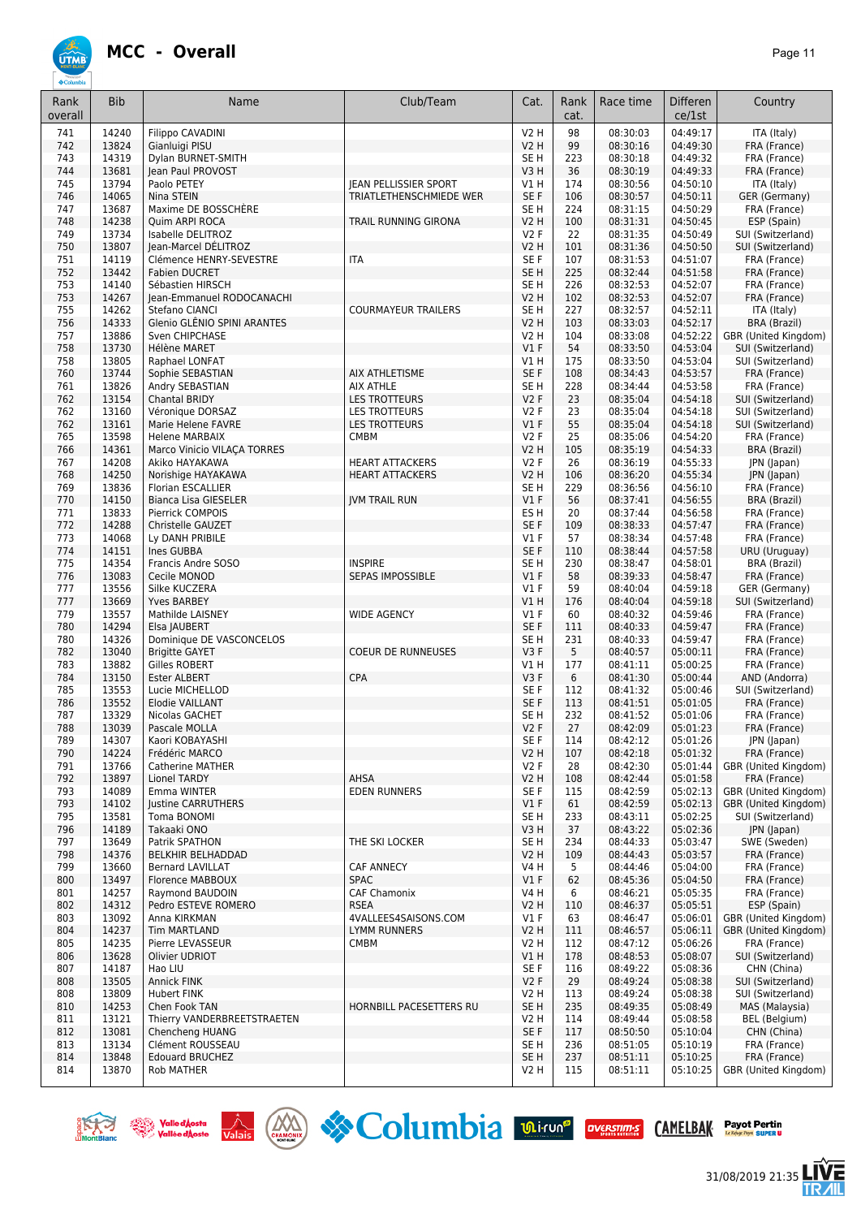

| Rank<br>overall | <b>Bib</b>     | Name                                                 | Club/Team                    | Cat.                           | Rank<br>cat. | Race time            | <b>Differen</b><br>ce/1st | Country                              |
|-----------------|----------------|------------------------------------------------------|------------------------------|--------------------------------|--------------|----------------------|---------------------------|--------------------------------------|
| 741             | 14240          | <b>Filippo CAVADINI</b>                              |                              | V2 H                           | 98           | 08:30:03             | 04:49:17                  | ITA (Italy)                          |
| 742             | 13824          | Gianluigi PISU                                       |                              | <b>V2 H</b>                    | 99           | 08:30:16             | 04:49:30                  | FRA (France)                         |
| 743             | 14319          | Dylan BURNET-SMITH                                   |                              | SE <sub>H</sub>                | 223          | 08:30:18             | 04:49:32                  | FRA (France)                         |
| 744<br>745      | 13681<br>13794 | lean Paul PROVOST<br>Paolo PETEY                     | <b>JEAN PELLISSIER SPORT</b> | V3H<br>V1 H                    | 36<br>174    | 08:30:19<br>08:30:56 | 04:49:33<br>04:50:10      | FRA (France)<br>ITA (Italy)          |
| 746             | 14065          | Nina STEIN                                           | TRIATLETHENSCHMIEDE WER      | SE F                           | 106          | 08:30:57             | 04:50:11                  | GER (Germany)                        |
| 747             | 13687          | Maxime DE BOSSCHÈRE                                  |                              | SE <sub>H</sub>                | 224          | 08:31:15             | 04:50:29                  | FRA (France)                         |
| 748             | 14238          | Quim ARPI ROCA                                       | TRAIL RUNNING GIRONA         | <b>V2 H</b>                    | 100          | 08:31:31             | 04:50:45                  | ESP (Spain)                          |
| 749             | 13734          | Isabelle DELITROZ                                    |                              | <b>V2F</b>                     | 22           | 08:31:35             | 04:50:49                  | SUI (Switzerland)                    |
| 750             | 13807          | Jean-Marcel DÉLITROZ                                 |                              | V <sub>2</sub> H               | 101          | 08:31:36             | 04:50:50                  | SUI (Switzerland)                    |
| 751             | 14119          | Clémence HENRY-SEVESTRE                              | <b>ITA</b>                   | SE F                           | 107          | 08:31:53             | 04:51:07                  | FRA (France)                         |
| 752             | 13442          | <b>Fabien DUCRET</b>                                 |                              | SE <sub>H</sub>                | 225          | 08:32:44             | 04:51:58                  | FRA (France)                         |
| 753             | 14140          | Sébastien HIRSCH                                     |                              | SE H                           | 226          | 08:32:53             | 04:52:07                  | FRA (France)                         |
| 753             | 14267<br>14262 | Jean-Emmanuel RODOCANACHI                            | <b>COURMAYEUR TRAILERS</b>   | <b>V2 H</b><br>SE <sub>H</sub> | 102<br>227   | 08:32:53<br>08:32:57 | 04:52:07<br>04:52:11      | FRA (France)                         |
| 755<br>756      | 14333          | Stefano CIANCI<br>Glenio GLÊNIO SPINI ARANTES        |                              | <b>V2 H</b>                    | 103          | 08:33:03             | 04:52:17                  | ITA (Italy)<br><b>BRA (Brazil)</b>   |
| 757             | 13886          | Sven CHIPCHASE                                       |                              | <b>V2 H</b>                    | 104          | 08:33:08             | 04:52:22                  | GBR (United Kingdom)                 |
| 758             | 13730          | <b>Hélène MARET</b>                                  |                              | $VI$ F                         | 54           | 08:33:50             | 04:53:04                  | SUI (Switzerland)                    |
| 758             | 13805          | Raphael LONFAT                                       |                              | V1 H                           | 175          | 08:33:50             | 04:53:04                  | SUI (Switzerland)                    |
| 760             | 13744          | Sophie SEBASTIAN                                     | AIX ATHLETISME               | SE F                           | 108          | 08:34:43             | 04:53:57                  | FRA (France)                         |
| 761             | 13826          | Andry SEBASTIAN                                      | <b>AIX ATHLE</b>             | SE <sub>H</sub>                | 228          | 08:34:44             | 04:53:58                  | FRA (France)                         |
| 762             | 13154          | <b>Chantal BRIDY</b>                                 | LES TROTTEURS                | <b>V2F</b>                     | 23           | 08:35:04             | 04:54:18                  | SUI (Switzerland)                    |
| 762             | 13160          | Véronique DORSAZ                                     | <b>LES TROTTEURS</b>         | V2 F                           | 23           | 08:35:04             | 04:54:18                  | SUI (Switzerland)                    |
| 762<br>765      | 13161<br>13598 | Marie Helene FAVRE                                   | LES TROTTEURS                | $VI$ F                         | 55<br>25     | 08:35:04<br>08:35:06 | 04:54:18<br>04:54:20      | SUI (Switzerland)<br>FRA (France)    |
| 766             | 14361          | <b>Helene MARBAIX</b><br>Marco Vinicio VILACA TORRES | <b>CMBM</b>                  | V2 F<br>V <sub>2</sub> H       | 105          | 08:35:19             | 04:54:33                  | <b>BRA (Brazil)</b>                  |
| 767             | 14208          | Akiko HAYAKAWA                                       | <b>HEART ATTACKERS</b>       | V2F                            | 26           | 08:36:19             | 04:55:33                  | JPN (Japan)                          |
| 768             | 14250          | Norishige HAYAKAWA                                   | <b>HEART ATTACKERS</b>       | <b>V2 H</b>                    | 106          | 08:36:20             | 04:55:34                  | JPN (Japan)                          |
| 769             | 13836          | <b>Florian ESCALLIER</b>                             |                              | SE <sub>H</sub>                | 229          | 08:36:56             | 04:56:10                  | FRA (France)                         |
| 770             | 14150          | <b>Bianca Lisa GIESELER</b>                          | <b>IVM TRAIL RUN</b>         | $VI$ F                         | 56           | 08:37:41             | 04:56:55                  | BRA (Brazil)                         |
| 771             | 13833          | Pierrick COMPOIS                                     |                              | ES <sub>H</sub>                | 20           | 08:37:44             | 04:56:58                  | FRA (France)                         |
| 772             | 14288          | Christelle GAUZET                                    |                              | SE F                           | 109          | 08:38:33             | 04:57:47                  | FRA (France)                         |
| 773             | 14068          | Ly DANH PRIBILE                                      |                              | $VI$ F                         | 57           | 08:38:34             | 04:57:48                  | FRA (France)                         |
| 774<br>775      | 14151<br>14354 | Ines GUBBA<br>Francis Andre SOSO                     | <b>INSPIRE</b>               | SE F<br>SE <sub>H</sub>        | 110<br>230   | 08:38:44<br>08:38:47 | 04:57:58<br>04:58:01      | URU (Uruguay)<br>BRA (Brazil)        |
| 776             | 13083          | Cecile MONOD                                         | <b>SEPAS IMPOSSIBLE</b>      | $VI$ F                         | 58           | 08:39:33             | 04:58:47                  | FRA (France)                         |
| 777             | 13556          | Silke KUCZERA                                        |                              | V1 F                           | 59           | 08:40:04             | 04:59:18                  | GER (Germany)                        |
| 777             | 13669          | <b>Yves BARBEY</b>                                   |                              | V1H                            | 176          | 08:40:04             | 04:59:18                  | SUI (Switzerland)                    |
| 779             | 13557          | Mathilde LAISNEY                                     | <b>WIDE AGENCY</b>           | $VI$ F                         | 60           | 08:40:32             | 04:59:46                  | FRA (France)                         |
| 780             | 14294          | Elsa JAUBERT                                         |                              | SE F                           | 111          | 08:40:33             | 04:59:47                  | FRA (France)                         |
| 780             | 14326          | Dominique DE VASCONCELOS                             |                              | SE <sub>H</sub>                | 231          | 08:40:33             | 04:59:47                  | FRA (France)                         |
| 782             | 13040<br>13882 | <b>Brigitte GAYET</b>                                | <b>COEUR DE RUNNEUSES</b>    | V3F                            | 5            | 08:40:57             | 05:00:11                  | FRA (France)                         |
| 783<br>784      | 13150          | Gilles ROBERT<br><b>Ester ALBERT</b>                 | CPA                          | V1 H<br>V3F                    | 177<br>6     | 08:41:11<br>08:41:30 | 05:00:25<br>05:00:44      | FRA (France)<br>AND (Andorra)        |
| 785             | 13553          | Lucie MICHELLOD                                      |                              | SE <sub>F</sub>                | 112          | 08:41:32             | 05:00:46                  | SUI (Switzerland)                    |
| 786             | 13552          | <b>Elodie VAILLANT</b>                               |                              | SE F                           | 113          | 08:41:51             | 05:01:05                  | FRA (France)                         |
| 787             | 13329          | Nicolas GACHET                                       |                              | SE <sub>H</sub>                | 232          | 08:41:52             | 05:01:06                  | FRA (France)                         |
| 788             | 13039          | Pascale MOLLA                                        |                              | <b>V2F</b>                     | 27           | 08:42:09             | 05:01:23                  | FRA (France)                         |
| 789             | 14307          | Kaori KOBAYASHI                                      |                              | SE F                           | 114          | 08:42:12             | 05:01:26                  | JPN (Japan)                          |
| 790             | 14224          | Frédéric MARCO                                       |                              | <b>V2 H</b>                    | 107          | 08:42:18             | 05:01:32                  | FRA (France)                         |
| 791             | 13766          | <b>Catherine MATHER</b>                              |                              | V2F                            | 28           | 08:42:30             | 05:01:44                  | GBR (United Kingdom)                 |
| 792<br>793      | 13897<br>14089 | <b>Lionel TARDY</b><br>Emma WINTER                   | AHSA<br><b>EDEN RUNNERS</b>  | V2 H<br>SE F                   | 108<br>115   | 08:42:44<br>08:42:59 | 05:01:58<br>05:02:13      | FRA (France)<br>GBR (United Kingdom) |
| 793             | 14102          | Justine CARRUTHERS                                   |                              | $VI$ F                         | 61           | 08:42:59             | 05:02:13                  | GBR (United Kingdom)                 |
| 795             | 13581          | Toma BONOMI                                          |                              | SE H                           | 233          | 08:43:11             | 05:02:25                  | SUI (Switzerland)                    |
| 796             | 14189          | Takaaki ONO                                          |                              | V3H                            | 37           | 08:43:22             | 05:02:36                  | JPN (Japan)                          |
| 797             | 13649          | Patrik SPATHON                                       | THE SKI LOCKER               | SE H                           | 234          | 08:44:33             | 05:03:47                  | SWE (Sweden)                         |
| 798             | 14376          | BELKHIR BELHADDAD                                    |                              | <b>V2 H</b>                    | 109          | 08:44:43             | 05:03:57                  | FRA (France)                         |
| 799             | 13660          | <b>Bernard LAVILLAT</b>                              | <b>CAF ANNECY</b>            | V4 H                           | 5            | 08:44:46             | 05:04:00                  | FRA (France)                         |
| 800<br>801      | 13497          | Florence MABBOUX                                     | <b>SPAC</b><br>CAF Chamonix  | $VI$ F<br>V4 H                 | 62           | 08:45:36             | 05:04:50                  | FRA (France)                         |
| 802             | 14257<br>14312 | Raymond BAUDOIN<br>Pedro ESTEVE ROMERO               | <b>RSEA</b>                  | V2 H                           | 6<br>110     | 08:46:21<br>08:46:37 | 05:05:35<br>05:05:51      | FRA (France)<br>ESP (Spain)          |
| 803             | 13092          | Anna KIRKMAN                                         | 4VALLEES4SAISONS.COM         | $VI$ F                         | 63           | 08:46:47             | 05:06:01                  | GBR (United Kingdom)                 |
| 804             | 14237          | Tim MARTLAND                                         | LYMM RUNNERS                 | <b>V2 H</b>                    | 111          | 08:46:57             | 05:06:11                  | GBR (United Kingdom)                 |
| 805             | 14235          | Pierre LEVASSEUR                                     | <b>CMBM</b>                  | <b>V2 H</b>                    | 112          | 08:47:12             | 05:06:26                  | FRA (France)                         |
| 806             | 13628          | Olivier UDRIOT                                       |                              | V1H                            | 178          | 08:48:53             | 05:08:07                  | SUI (Switzerland)                    |
| 807             | 14187          | Hao LIU                                              |                              | SE F                           | 116          | 08:49:22             | 05:08:36                  | CHN (China)                          |
| 808             | 13505          | Annick FINK                                          |                              | V2F                            | 29           | 08:49:24             | 05:08:38                  | SUI (Switzerland)                    |
| 808<br>810      | 13809<br>14253 | <b>Hubert FINK</b><br>Chen Fook TAN                  | HORNBILL PACESETTERS RU      | V2 H<br>SE <sub>H</sub>        | 113<br>235   | 08:49:24<br>08:49:35 | 05:08:38<br>05:08:49      | SUI (Switzerland)<br>MAS (Malaysia)  |
| 811             | 13121          | Thierry VANDERBREETSTRAETEN                          |                              | V2 H                           | 114          | 08:49:44             | 05:08:58                  | BEL (Belgium)                        |
| 812             | 13081          | Chencheng HUANG                                      |                              | SE F                           | 117          | 08:50:50             | 05:10:04                  | CHN (China)                          |
| 813             | 13134          | Clément ROUSSEAU                                     |                              | SE H                           | 236          | 08:51:05             | 05:10:19                  | FRA (France)                         |
| 814             | 13848          | <b>Edouard BRUCHEZ</b>                               |                              | SE <sub>H</sub>                | 237          | 08:51:11             | 05:10:25                  | FRA (France)                         |
| 814             | 13870          | Rob MATHER                                           |                              | V <sub>2</sub> H               | 115          | 08:51:11             | 05:10:25                  | GBR (United Kingdom)                 |











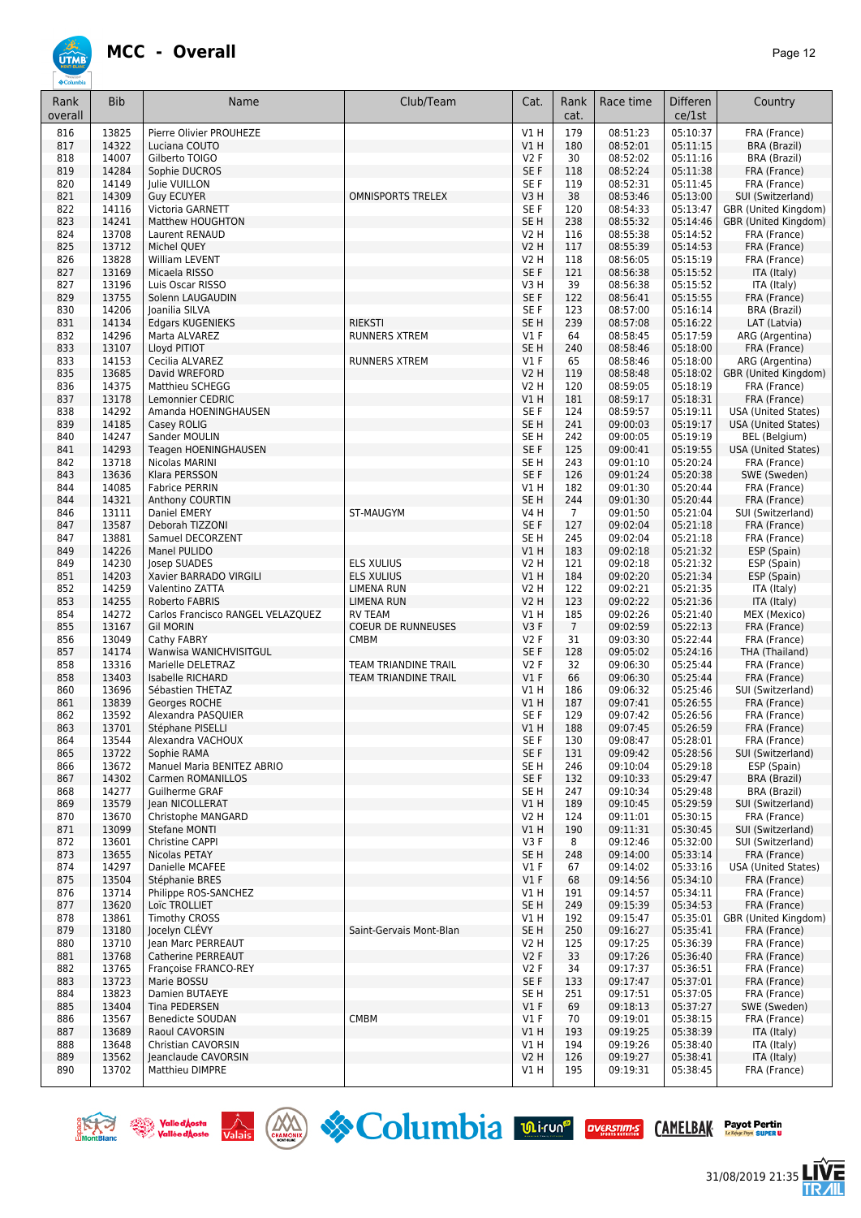

| Rank<br>overall | <b>Bib</b>     | Name                                        | Club/Team                   | Cat.                      | Rank<br>cat.   | Race time            | <b>Differen</b><br>ce/1st | Country                                                  |
|-----------------|----------------|---------------------------------------------|-----------------------------|---------------------------|----------------|----------------------|---------------------------|----------------------------------------------------------|
| 816             | 13825          | Pierre Olivier PROUHEZE                     |                             | V1H                       | 179            | 08:51:23             | 05:10:37                  | FRA (France)                                             |
| 817             | 14322          | Luciana COUTO                               |                             | V1H                       | 180            | 08:52:01             | 05:11:15                  | <b>BRA</b> (Brazil)                                      |
| 818             | 14007          | Gilberto TOIGO                              |                             | V2F                       | 30             | 08:52:02             | 05:11:16                  | BRA (Brazil)                                             |
| 819             | 14284          | Sophie DUCROS                               |                             | SE F                      | 118            | 08:52:24             | 05:11:38                  | FRA (France)                                             |
| 820<br>821      | 14149<br>14309 | Julie VUILLON<br><b>Guy ECUYER</b>          | <b>OMNISPORTS TRELEX</b>    | SE F<br>V3H               | 119<br>38      | 08:52:31<br>08:53:46 | 05:11:45<br>05:13:00      | FRA (France)<br>SUI (Switzerland)                        |
| 822             | 14116          | Victoria GARNETT                            |                             | SE F                      | 120            | 08:54:33             | 05:13:47                  | GBR (United Kingdom)                                     |
| 823             | 14241          | Matthew HOUGHTON                            |                             | SE <sub>H</sub>           | 238            | 08:55:32             | 05:14:46                  | GBR (United Kingdom)                                     |
| 824             | 13708          | Laurent RENAUD                              |                             | <b>V2 H</b>               | 116            | 08:55:38             | 05:14:52                  | FRA (France)                                             |
| 825             | 13712          | Michel QUEY                                 |                             | V2 H                      | 117            | 08:55:39             | 05:14:53                  | FRA (France)                                             |
| 826             | 13828          | William LEVENT                              |                             | <b>V2 H</b>               | 118            | 08:56:05             | 05:15:19                  | FRA (France)                                             |
| 827             | 13169          | Micaela RISSO                               |                             | SE F                      | 121            | 08:56:38             | 05:15:52                  | ITA (Italy)                                              |
| 827             | 13196          | Luis Oscar RISSO                            |                             | V3H                       | 39             | 08:56:38             | 05:15:52                  | ITA (Italy)                                              |
| 829<br>830      | 13755<br>14206 | Solenn LAUGAUDIN<br>Joanilia SILVA          |                             | SE F<br>SE F              | 122<br>123     | 08:56:41<br>08:57:00 | 05:15:55<br>05:16:14      | FRA (France)                                             |
| 831             | 14134          | Edgars KUGENIEKS                            | <b>RIEKSTI</b>              | SE <sub>H</sub>           | 239            | 08:57:08             | 05:16:22                  | BRA (Brazil)<br>LAT (Latvia)                             |
| 832             | 14296          | Marta ALVAREZ                               | <b>RUNNERS XTREM</b>        | $VI$ F                    | 64             | 08:58:45             | 05:17:59                  | ARG (Argentina)                                          |
| 833             | 13107          | Lloyd PITIOT                                |                             | SE <sub>H</sub>           | 240            | 08:58:46             | 05:18:00                  | FRA (France)                                             |
| 833             | 14153          | Cecilia ALVAREZ                             | <b>RUNNERS XTREM</b>        | $VI$ F                    | 65             | 08:58:46             | 05:18:00                  | ARG (Argentina)                                          |
| 835             | 13685          | David WREFORD                               |                             | V2 H                      | 119            | 08:58:48             | 05:18:02                  | GBR (United Kingdom)                                     |
| 836             | 14375          | Matthieu SCHEGG                             |                             | <b>V2 H</b>               | 120            | 08:59:05             | 05:18:19                  | FRA (France)                                             |
| 837             | 13178          | Lemonnier CEDRIC                            |                             | V1 H                      | 181            | 08:59:17             | 05:18:31                  | FRA (France)                                             |
| 838<br>839      | 14292<br>14185 | Amanda HOENINGHAUSEN<br>Casey ROLIG         |                             | SE F<br>SE <sub>H</sub>   | 124<br>241     | 08:59:57<br>09:00:03 | 05:19:11<br>05:19:17      | <b>USA (United States)</b><br><b>USA (United States)</b> |
| 840             | 14247          | Sander MOULIN                               |                             | SE <sub>H</sub>           | 242            | 09:00:05             | 05:19:19                  | <b>BEL</b> (Belgium)                                     |
| 841             | 14293          | Teagen HOENINGHAUSEN                        |                             | SE F                      | 125            | 09:00:41             | 05:19:55                  | USA (United States)                                      |
| 842             | 13718          | Nicolas MARINI                              |                             | SE <sub>H</sub>           | 243            | 09:01:10             | 05:20:24                  | FRA (France)                                             |
| 843             | 13636          | Klara PERSSON                               |                             | SE F                      | 126            | 09:01:24             | 05:20:38                  | SWE (Sweden)                                             |
| 844             | 14085          | <b>Fabrice PERRIN</b>                       |                             | V1H                       | 182            | 09:01:30             | 05:20:44                  | FRA (France)                                             |
| 844             | 14321          | Anthony COURTIN                             |                             | SE <sub>H</sub>           | 244            | 09:01:30             | 05:20:44                  | FRA (France)                                             |
| 846             | 13111          | Daniel EMERY                                | ST-MAUGYM                   | V4 H                      | $\overline{7}$ | 09:01:50             | 05:21:04                  | SUI (Switzerland)                                        |
| 847             | 13587          | Deborah TIZZONI                             |                             | SE F                      | 127            | 09:02:04             | 05:21:18                  | FRA (France)                                             |
| 847<br>849      | 13881<br>14226 | Samuel DECORZENT<br>Manel PULIDO            |                             | SE <sub>H</sub><br>VIH    | 245<br>183     | 09:02:04<br>09:02:18 | 05:21:18<br>05:21:32      | FRA (France)<br>ESP (Spain)                              |
| 849             | 14230          | Josep SUADES                                | <b>ELS XULIUS</b>           | <b>V2 H</b>               | 121            | 09:02:18             | 05:21:32                  | ESP (Spain)                                              |
| 851             | 14203          | Xavier BARRADO VIRGILI                      | <b>ELS XULIUS</b>           | VIH                       | 184            | 09:02:20             | 05:21:34                  | ESP (Spain)                                              |
| 852             | 14259          | Valentino ZATTA                             | <b>LIMENA RUN</b>           | <b>V2 H</b>               | 122            | 09:02:21             | 05:21:35                  | ITA (Italy)                                              |
| 853             | 14255          | Roberto FABRIS                              | <b>LIMENA RUN</b>           | <b>V2 H</b>               | 123            | 09:02:22             | 05:21:36                  | ITA (Italy)                                              |
| 854             | 14272          | Carlos Francisco RANGEL VELAZQUEZ           | <b>RV TEAM</b>              | V1H                       | 185            | 09:02:26             | 05:21:40                  | MEX (Mexico)                                             |
| 855             | 13167          | <b>Gil MORIN</b>                            | <b>COEUR DE RUNNEUSES</b>   | V3F                       | $\overline{7}$ | 09:02:59             | 05:22:13                  | FRA (France)                                             |
| 856<br>857      | 13049<br>14174 | Cathy FABRY                                 | <b>CMBM</b>                 | V2F<br>SE F               | 31<br>128      | 09:03:30<br>09:05:02 | 05:22:44<br>05:24:16      | FRA (France)<br>THA (Thailand)                           |
| 858             | 13316          | Wanwisa WANICHVISITGUL<br>Marielle DELETRAZ | TEAM TRIANDINE TRAIL        | V2F                       | 32             | 09:06:30             | 05:25:44                  | FRA (France)                                             |
| 858             | 13403          | <b>Isabelle RICHARD</b>                     | <b>TEAM TRIANDINE TRAIL</b> | V1F                       | 66             | 09:06:30             | 05:25:44                  | FRA (France)                                             |
| 860             | 13696          | Sébastien THETAZ                            |                             | V1 H                      | 186            | 09:06:32             | 05:25:46                  | SUI (Switzerland)                                        |
| 861             | 13839          | Georges ROCHE                               |                             | V1 H                      | 187            | 09:07:41             | 05:26:55                  | FRA (France)                                             |
| 862             | 13592          | Alexandra PASQUIER                          |                             | SE F                      | 129            | 09:07:42             | 05:26:56                  | FRA (France)                                             |
| 863             | 13701          | Stéphane PISELLI                            |                             | V1H                       | 188            | 09:07:45             | 05:26:59                  | FRA (France)                                             |
| 864             | 13544          | Alexandra VACHOUX                           |                             | SE F<br>SE F              | 130            | 09:08:47             | 05:28:01                  | FRA (France)                                             |
| 865<br>866      | 13722<br>13672 | Sophie RAMA<br>Manuel Maria BENITEZ ABRIO   |                             | SE H                      | 131<br>246     | 09:09:42<br>09:10:04 | 05:28:56<br>05:29:18      | SUI (Switzerland)<br>ESP (Spain)                         |
| 867             | 14302          | Carmen ROMANILLOS                           |                             | SE F                      | 132            | 09:10:33             | 05:29:47                  | BRA (Brazil)                                             |
| 868             | 14277          | Guilherme GRAF                              |                             | SE H                      | 247            | 09:10:34             | 05:29:48                  | <b>BRA (Brazil)</b>                                      |
| 869             | 13579          | Jean NICOLLERAT                             |                             | V1 H                      | 189            | 09:10:45             | 05:29:59                  | SUI (Switzerland)                                        |
| 870             | 13670          | Christophe MANGARD                          |                             | V2 H                      | 124            | 09:11:01             | 05:30:15                  | FRA (France)                                             |
| 871             | 13099          | Stefane MONTI                               |                             | V1H                       | 190            | 09:11:31             | 05:30:45                  | SUI (Switzerland)                                        |
| 872             | 13601          | Christine CAPPI<br>Nicolas PETAY            |                             | V3F                       | 8              | 09:12:46             | 05:32:00                  | SUI (Switzerland)<br>FRA (France)                        |
| 873<br>874      | 13655<br>14297 | Danielle MCAFEE                             |                             | SE <sub>H</sub><br>$VI$ F | 248<br>67      | 09:14:00<br>09:14:02 | 05:33:14<br>05:33:16      | <b>USA (United States)</b>                               |
| 875             | 13504          | Stéphanie BRES                              |                             | $VI$ F                    | 68             | 09:14:56             | 05:34:10                  | FRA (France)                                             |
| 876             | 13714          | Philippe ROS-SANCHEZ                        |                             | V1 H                      | 191            | 09:14:57             | 05:34:11                  | FRA (France)                                             |
| 877             | 13620          | Loïc TROLLIET                               |                             | SE <sub>H</sub>           | 249            | 09:15:39             | 05:34:53                  | FRA (France)                                             |
| 878             | 13861          | Timothy CROSS                               |                             | V1H                       | 192            | 09:15:47             | 05:35:01                  | GBR (United Kingdom)                                     |
| 879             | 13180          | Jocelyn CLEVY                               | Saint-Gervais Mont-Blan     | SE <sub>H</sub>           | 250            | 09:16:27             | 05:35:41                  | FRA (France)                                             |
| 880             | 13710          | Jean Marc PERREAUT                          |                             | V2 H                      | 125            | 09:17:25             | 05:36:39                  | FRA (France)                                             |
| 881<br>882      | 13768<br>13765 | Catherine PERREAUT<br>Françoise FRANCO-REY  |                             | V2F<br>V2F                | 33<br>34       | 09:17:26<br>09:17:37 | 05:36:40<br>05:36:51      | FRA (France)<br>FRA (France)                             |
| 883             | 13723          | Marie BOSSU                                 |                             | SE F                      | 133            | 09:17:47             | 05:37:01                  | FRA (France)                                             |
| 884             | 13823          | Damien BUTAEYE                              |                             | SE H                      | 251            | 09:17:51             | 05:37:05                  | FRA (France)                                             |
| 885             | 13404          | Tina PEDERSEN                               |                             | $VI$ F                    | 69             | 09:18:13             | 05:37:27                  | SWE (Sweden)                                             |
| 886             | 13567          | Benedicte SOUDAN                            | <b>CMBM</b>                 | $VI$ F                    | 70             | 09:19:01             | 05:38:15                  | FRA (France)                                             |
| 887             | 13689          | Raoul CAVORSIN                              |                             | V1H                       | 193            | 09:19:25             | 05:38:39                  | ITA (Italy)                                              |
| 888             | 13648          | Christian CAVORSIN                          |                             | V1 H                      | 194            | 09:19:26             | 05:38:40                  | ITA (Italy)                                              |
| 889<br>890      | 13562<br>13702 | Jeanclaude CAVORSIN<br>Matthieu DIMPRE      |                             | <b>V2 H</b>               | 126<br>195     | 09:19:27             | 05:38:41                  | ITA (Italy)                                              |
|                 |                |                                             |                             | V1 H                      |                | 09:19:31             | 05:38:45                  | FRA (France)                                             |